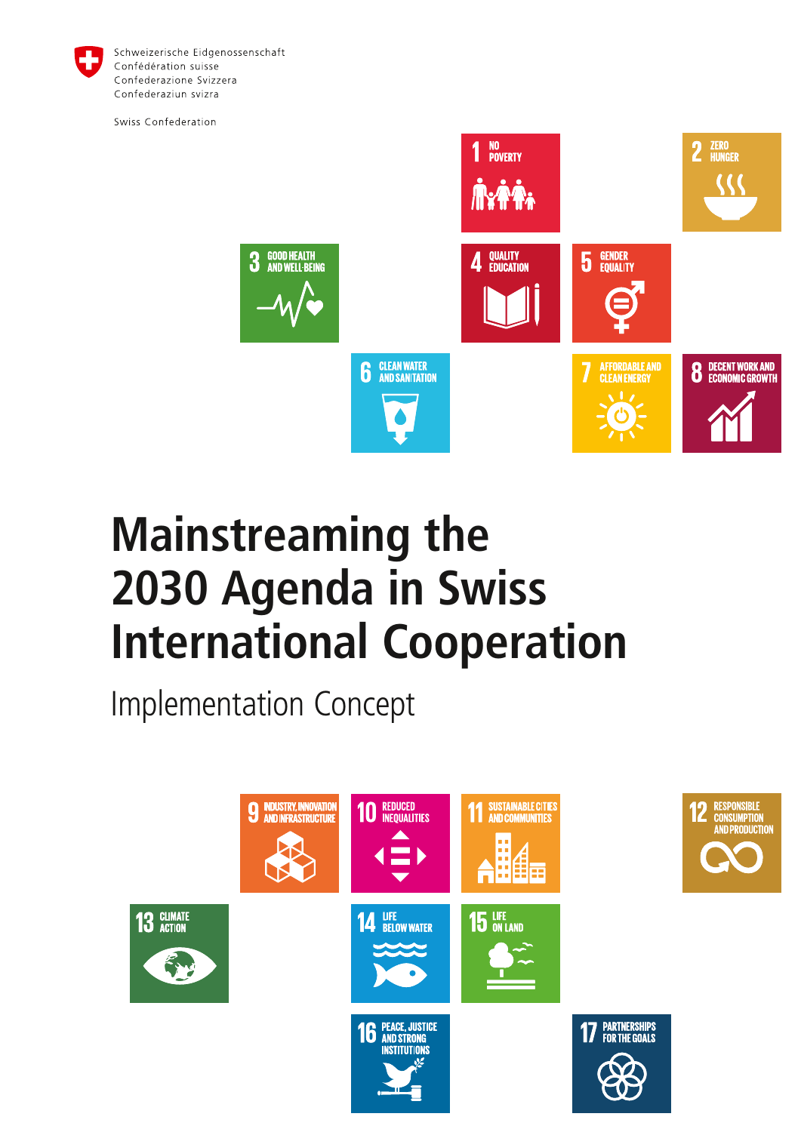

Schweizerische Eidgenossenschaft Confédération suisse Confederazione Svizzera Confederaziun svizra

Swiss Confederation



# **Mainstreaming the 2030 Agenda in Swiss International Cooperation**

Implementation Concept

![](_page_0_Picture_6.jpeg)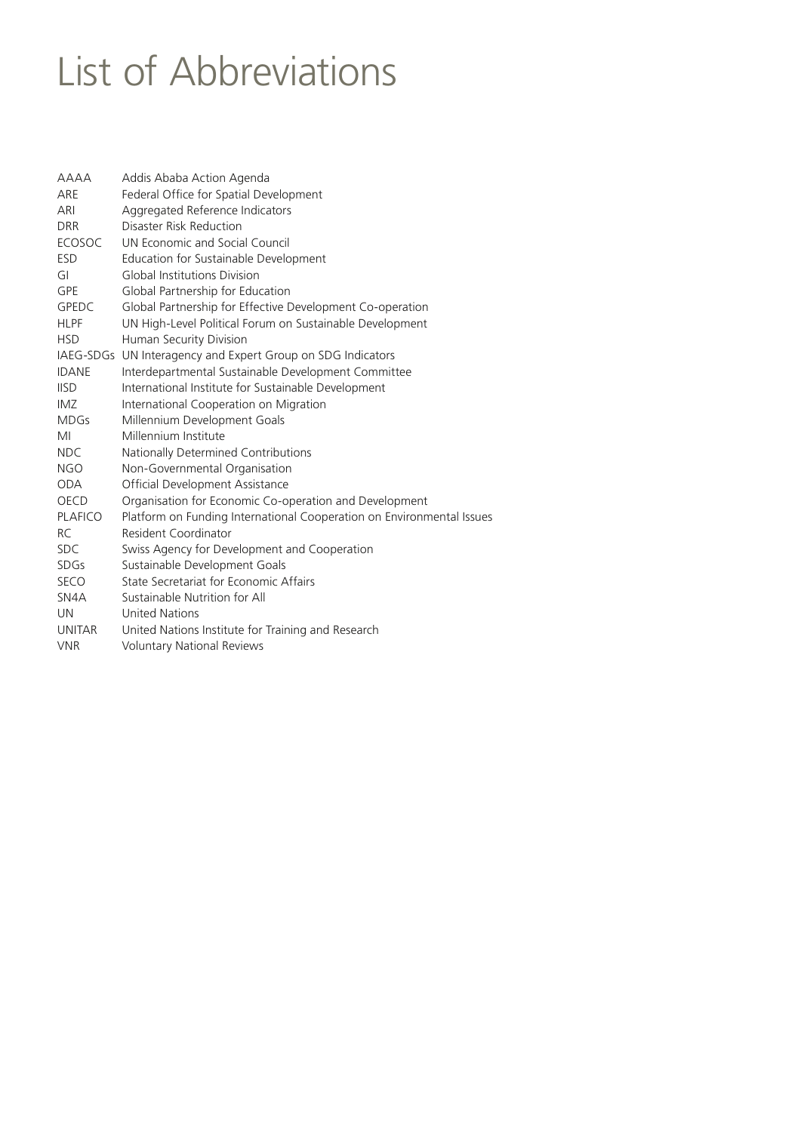# <span id="page-1-0"></span>List of Abbreviations

| <b>AAAA</b>  | Addis Ababa Action Agenda                                             |
|--------------|-----------------------------------------------------------------------|
| ARE          | Federal Office for Spatial Development                                |
| ARI          | Aggregated Reference Indicators                                       |
| <b>DRR</b>   | Disaster Risk Reduction                                               |
| ECOSOC       | UN Economic and Social Council                                        |
| <b>ESD</b>   | Education for Sustainable Development                                 |
| GI           | Global Institutions Division                                          |
| <b>GPE</b>   | Global Partnership for Education                                      |
| <b>GPEDC</b> | Global Partnership for Effective Development Co-operation             |
| <b>HLPF</b>  | UN High-Level Political Forum on Sustainable Development              |
| <b>HSD</b>   | Human Security Division                                               |
|              | IAEG-SDGs UN Interagency and Expert Group on SDG Indicators           |
| <b>IDANE</b> | Interdepartmental Sustainable Development Committee                   |
| <b>IISD</b>  | International Institute for Sustainable Development                   |
| <b>IMZ</b>   | International Cooperation on Migration                                |
| <b>MDGs</b>  | Millennium Development Goals                                          |
| MI           | Millennium Institute                                                  |
| <b>NDC</b>   | Nationally Determined Contributions                                   |
| <b>NGO</b>   | Non-Governmental Organisation                                         |
| <b>ODA</b>   | Official Development Assistance                                       |
| OECD         | Organisation for Economic Co-operation and Development                |
| PLAFICO      | Platform on Funding International Cooperation on Environmental Issues |
| <b>RC</b>    | Resident Coordinator                                                  |
| <b>SDC</b>   | Swiss Agency for Development and Cooperation                          |
| <b>SDGs</b>  | Sustainable Development Goals                                         |
| <b>SECO</b>  | State Secretariat for Economic Affairs                                |
| SN4A         | Sustainable Nutrition for All                                         |
| UN           | <b>United Nations</b>                                                 |
| UNITAR       | United Nations Institute for Training and Research                    |
| <b>VNR</b>   | <b>Voluntary National Reviews</b>                                     |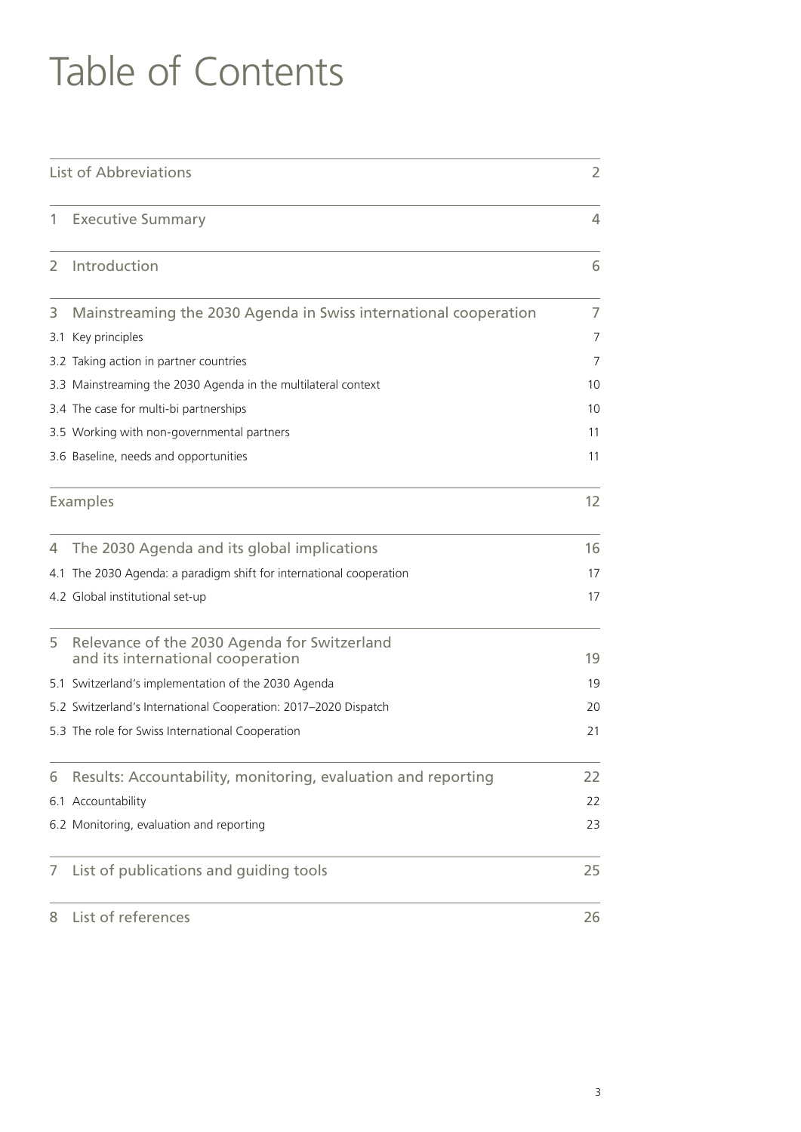# Table of Contents

|   | <b>List of Abbreviations</b>                                                      |    |
|---|-----------------------------------------------------------------------------------|----|
| 1 | <b>Executive Summary</b>                                                          | 4  |
| 2 | Introduction                                                                      | 6  |
| 3 | Mainstreaming the 2030 Agenda in Swiss international cooperation                  | 7  |
|   | 3.1 Key principles                                                                | 7  |
|   | 3.2 Taking action in partner countries                                            | 7  |
|   | 3.3 Mainstreaming the 2030 Agenda in the multilateral context                     | 10 |
|   | 3.4 The case for multi-bi partnerships                                            | 10 |
|   | 3.5 Working with non-governmental partners                                        | 11 |
|   | 3.6 Baseline, needs and opportunities                                             | 11 |
|   | Examples                                                                          | 12 |
| 4 | The 2030 Agenda and its global implications                                       | 16 |
|   | 4.1 The 2030 Agenda: a paradigm shift for international cooperation               | 17 |
|   | 4.2 Global institutional set-up                                                   | 17 |
| 5 | Relevance of the 2030 Agenda for Switzerland<br>and its international cooperation | 19 |
|   | 5.1 Switzerland's implementation of the 2030 Agenda                               | 19 |
|   | 5.2 Switzerland's International Cooperation: 2017-2020 Dispatch                   | 20 |
|   | 5.3 The role for Swiss International Cooperation                                  | 21 |
| 6 | Results: Accountability, monitoring, evaluation and reporting                     | 22 |
|   | 6.1 Accountability                                                                | 22 |
|   | 6.2 Monitoring, evaluation and reporting                                          | 23 |
| 7 | List of publications and guiding tools                                            | 25 |
| 8 | List of references                                                                | 26 |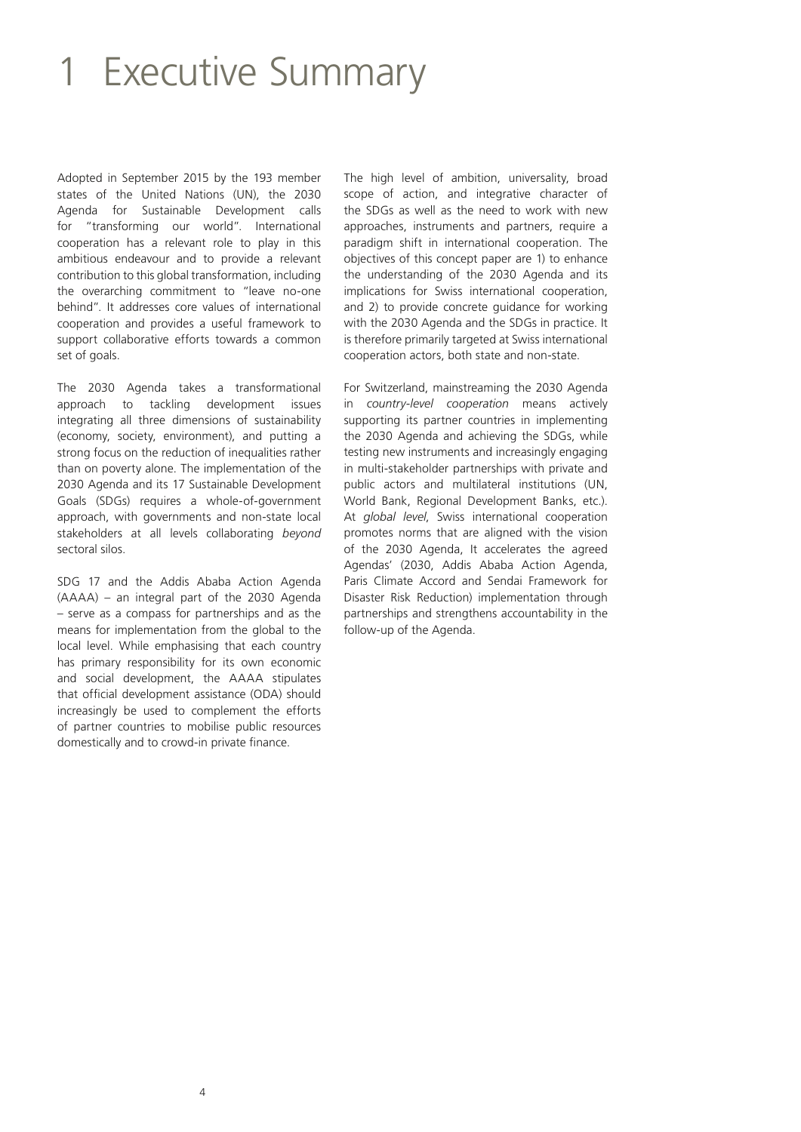# <span id="page-3-0"></span>1 Executive Summary

Adopted in September 2015 by the 193 member states of the United Nations (UN), the 2030 Agenda for Sustainable Development calls for "transforming our world". International cooperation has a relevant role to play in this ambitious endeavour and to provide a relevant contribution to this global transformation, including the overarching commitment to "leave no-one behind". It addresses core values of international cooperation and provides a useful framework to support collaborative efforts towards a common set of goals.

The 2030 Agenda takes a transformational approach to tackling development issues integrating all three dimensions of sustainability (economy, society, environment), and putting a strong focus on the reduction of inequalities rather than on poverty alone. The implementation of the 2030 Agenda and its 17 Sustainable Development Goals (SDGs) requires a whole-of-government approach, with governments and non-state local stakeholders at all levels collaborating *beyond* sectoral silos.

SDG 17 and the Addis Ababa Action Agenda (AAAA) – an integral part of the 2030 Agenda – serve as a compass for partnerships and as the means for implementation from the global to the local level. While emphasising that each country has primary responsibility for its own economic and social development, the AAAA stipulates that official development assistance (ODA) should increasingly be used to complement the efforts of partner countries to mobilise public resources domestically and to crowd-in private finance.

The high level of ambition, universality, broad scope of action, and integrative character of the SDGs as well as the need to work with new approaches, instruments and partners, require a paradigm shift in international cooperation. The objectives of this concept paper are 1) to enhance the understanding of the 2030 Agenda and its implications for Swiss international cooperation, and 2) to provide concrete guidance for working with the 2030 Agenda and the SDGs in practice. It is therefore primarily targeted at Swiss international cooperation actors, both state and non-state.

For Switzerland, mainstreaming the 2030 Agenda in *country-level cooperation* means actively supporting its partner countries in implementing the 2030 Agenda and achieving the SDGs, while testing new instruments and increasingly engaging in multi-stakeholder partnerships with private and public actors and multilateral institutions (UN, World Bank, Regional Development Banks, etc.). At *global level*, Swiss international cooperation promotes norms that are aligned with the vision of the 2030 Agenda, It accelerates the agreed Agendas' (2030, Addis Ababa Action Agenda, Paris Climate Accord and Sendai Framework for Disaster Risk Reduction) implementation through partnerships and strengthens accountability in the follow-up of the Agenda.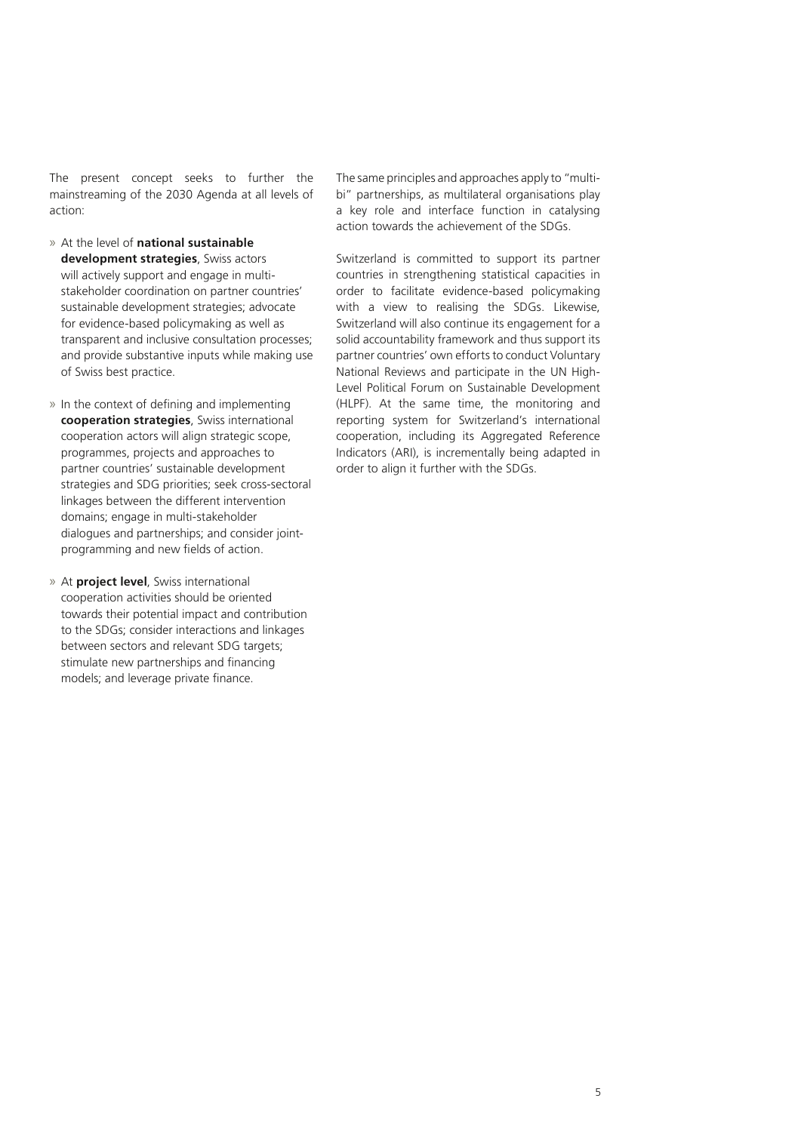The present concept seeks to further the mainstreaming of the 2030 Agenda at all levels of action:

- » At the level of **national sustainable development strategies**, Swiss actors will actively support and engage in multistakeholder coordination on partner countries' sustainable development strategies; advocate for evidence-based policymaking as well as transparent and inclusive consultation processes; and provide substantive inputs while making use of Swiss best practice.
- » In the context of defining and implementing **cooperation strategies**, Swiss international cooperation actors will align strategic scope, programmes, projects and approaches to partner countries' sustainable development strategies and SDG priorities; seek cross-sectoral linkages between the different intervention domains; engage in multi-stakeholder dialogues and partnerships; and consider jointprogramming and new fields of action.
- » At **project level**, Swiss international cooperation activities should be oriented towards their potential impact and contribution to the SDGs; consider interactions and linkages between sectors and relevant SDG targets; stimulate new partnerships and financing models; and leverage private finance.

The same principles and approaches apply to "multibi" partnerships, as multilateral organisations play a key role and interface function in catalysing action towards the achievement of the SDGs.

Switzerland is committed to support its partner countries in strengthening statistical capacities in order to facilitate evidence-based policymaking with a view to realising the SDGs. Likewise, Switzerland will also continue its engagement for a solid accountability framework and thus support its partner countries' own efforts to conduct Voluntary National Reviews and participate in the UN High-Level Political Forum on Sustainable Development (HLPF). At the same time, the monitoring and reporting system for Switzerland's international cooperation, including its Aggregated Reference Indicators (ARI), is incrementally being adapted in order to align it further with the SDGs.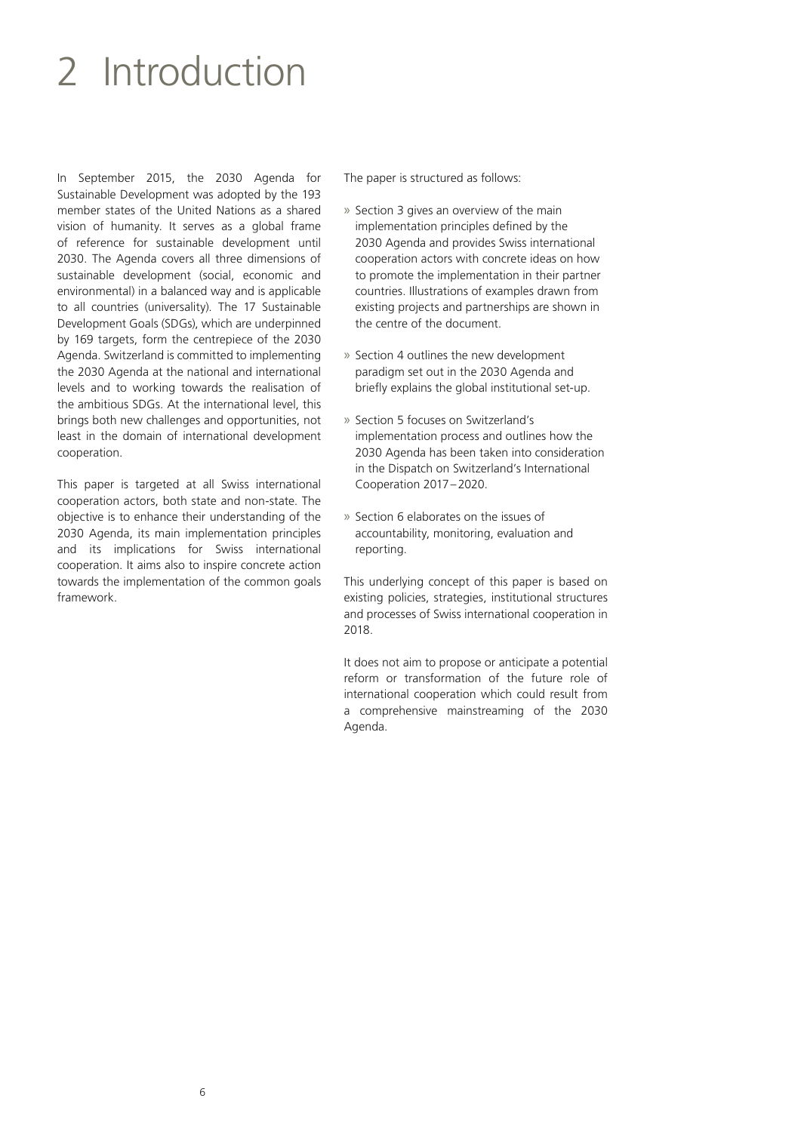# <span id="page-5-0"></span>2 Introduction

In September 2015, the 2030 Agenda for Sustainable Development was adopted by the 193 member states of the United Nations as a shared vision of humanity. It serves as a global frame of reference for sustainable development until 2030. The Agenda covers all three dimensions of sustainable development (social, economic and environmental) in a balanced way and is applicable to all countries (universality). The 17 Sustainable Development Goals (SDGs), which are underpinned by 169 targets, form the centrepiece of the 2030 Agenda. Switzerland is committed to implementing the 2030 Agenda at the national and international levels and to working towards the realisation of the ambitious SDGs. At the international level, this brings both new challenges and opportunities, not least in the domain of international development cooperation.

This paper is targeted at all Swiss international cooperation actors, both state and non-state. The objective is to enhance their understanding of the 2030 Agenda, its main implementation principles and its implications for Swiss international cooperation. It aims also to inspire concrete action towards the implementation of the common goals framework.

The paper is structured as follows:

- » Section 3 gives an overview of the main implementation principles defined by the 2030 Agenda and provides Swiss international cooperation actors with concrete ideas on how to promote the implementation in their partner countries. Illustrations of examples drawn from existing projects and partnerships are shown in the centre of the document.
- » Section 4 outlines the new development paradigm set out in the 2030 Agenda and briefly explains the global institutional set-up.
- » Section 5 focuses on Switzerland's implementation process and outlines how the 2030 Agenda has been taken into consideration in the Dispatch on Switzerland's International Cooperation 2017–2020.
- » Section 6 elaborates on the issues of accountability, monitoring, evaluation and reporting.

This underlying concept of this paper is based on existing policies, strategies, institutional structures and processes of Swiss international cooperation in 2018.

It does not aim to propose or anticipate a potential reform or transformation of the future role of international cooperation which could result from a comprehensive mainstreaming of the 2030 Agenda.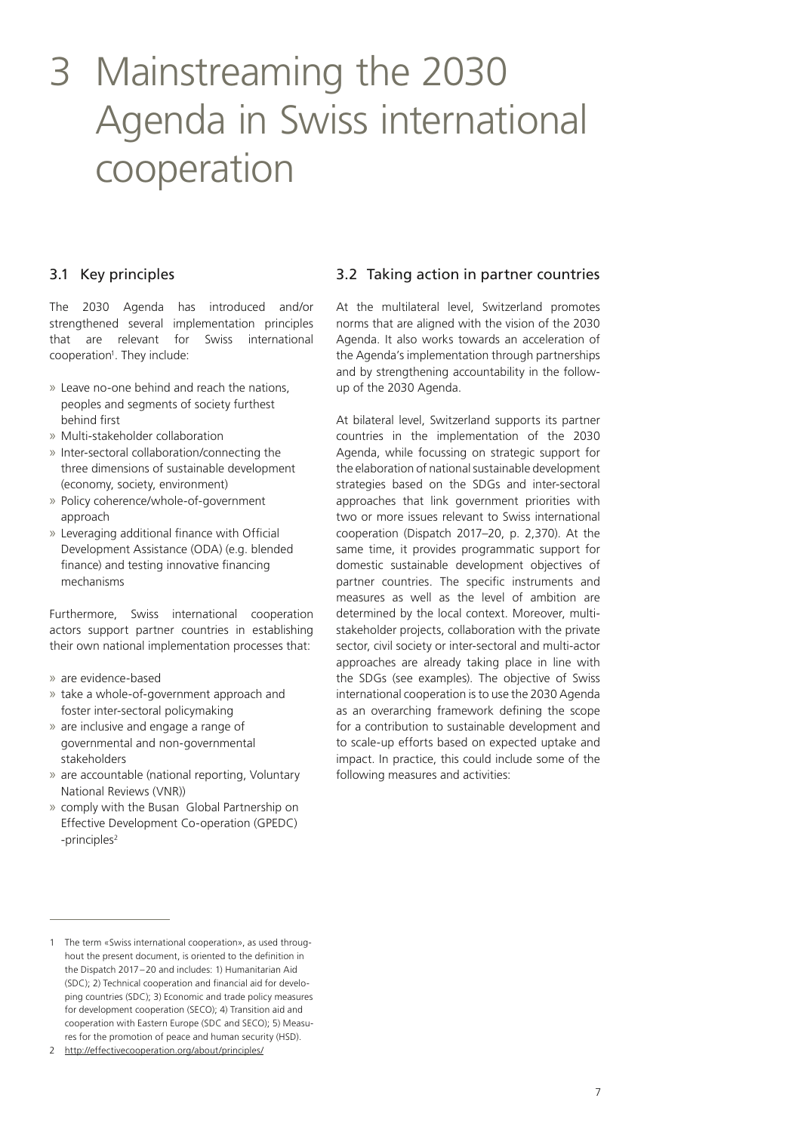# <span id="page-6-0"></span>3 Mainstreaming the 2030 Agenda in Swiss international cooperation

#### 3.1 Key principles

The 2030 Agenda has introduced and/or strengthened several implementation principles that are relevant for Swiss international cooperation<sup>1</sup>. They include:

- » Leave no-one behind and reach the nations, peoples and segments of society furthest behind first
- » Multi-stakeholder collaboration
- » Inter-sectoral collaboration/connecting the three dimensions of sustainable development (economy, society, environment)
- » Policy coherence/whole-of-government approach
- » Leveraging additional finance with Official Development Assistance (ODA) (e.g. blended finance) and testing innovative financing mechanisms

Furthermore, Swiss international cooperation actors support partner countries in establishing their own national implementation processes that:

- » are evidence-based
- » take a whole-of-government approach and foster inter-sectoral policymaking
- » are inclusive and engage a range of governmental and non-governmental stakeholders
- » are accountable (national reporting, Voluntary National Reviews (VNR))
- » comply with the Busan Global Partnership on Effective Development Co-operation (GPEDC) -principles<sup>2</sup>

#### 3.2 Taking action in partner countries

At the multilateral level, Switzerland promotes norms that are aligned with the vision of the 2030 Agenda. It also works towards an acceleration of the Agenda's implementation through partnerships and by strengthening accountability in the followup of the 2030 Agenda.

At bilateral level, Switzerland supports its partner countries in the implementation of the 2030 Agenda, while focussing on strategic support for the elaboration of national sustainable development strategies based on the SDGs and inter-sectoral approaches that link government priorities with two or more issues relevant to Swiss international cooperation (Dispatch 2017–20, p. 2,370). At the same time, it provides programmatic support for domestic sustainable development objectives of partner countries. The specific instruments and measures as well as the level of ambition are determined by the local context. Moreover, multistakeholder projects, collaboration with the private sector, civil society or inter-sectoral and multi-actor approaches are already taking place in line with the SDGs (see examples). The objective of Swiss international cooperation is to use the 2030 Agenda as an overarching framework defining the scope for a contribution to sustainable development and to scale-up efforts based on expected uptake and impact. In practice, this could include some of the following measures and activities:

The term «Swiss international cooperation», as used throughout the present document, is oriented to the definition in the Dispatch 2017–20 and includes: 1) Humanitarian Aid (SDC); 2) Technical cooperation and financial aid for developing countries (SDC); 3) Economic and trade policy measures for development cooperation (SECO); 4) Transition aid and cooperation with Eastern Europe (SDC and SECO); 5) Measures for the promotion of peace and human security (HSD).

<sup>2</sup> <http://effectivecooperation.org/about/principles/>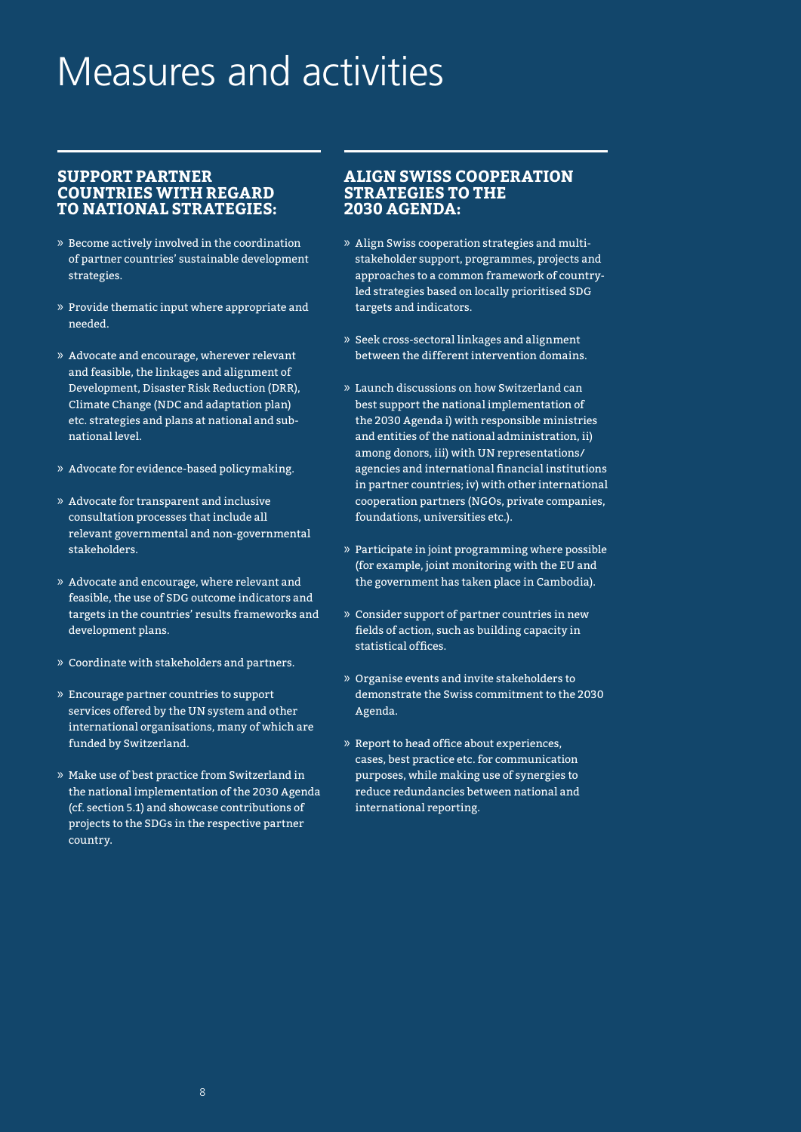# Measures and activities

#### **SUPPORT PARTNER COUNTRIES WITH REGARD TO NATIONAL STRATEGIES:**

- » Become actively involved in the coordination of partner countries' sustainable development strategies.
- » Provide thematic input where appropriate and needed.
- » Advocate and encourage, wherever relevant and feasible, the linkages and alignment of Development, Disaster Risk Reduction (DRR), Climate Change (NDC and adaptation plan) etc. strategies and plans at national and subnational level.
- » Advocate for evidence-based policymaking.
- » Advocate for transparent and inclusive consultation processes that include all relevant governmental and non-governmental stakeholders.
- » Advocate and encourage, where relevant and feasible, the use of SDG outcome indicators and targets in the countries' results frameworks and development plans.
- » Coordinate with stakeholders and partners.
- » Encourage partner countries to support services offered by the UN system and other international organisations, many of which are funded by Switzerland.
- » Make use of best practice from Switzerland in the national implementation of the 2030 Agenda (cf. section 5.1) and showcase contributions of projects to the SDGs in the respective partner country.

#### **ALIGN SWISS COOPERATION STRATEGIES TO THE 2030 AGENDA:**

- » Align Swiss cooperation strategies and multistakeholder support, programmes, projects and approaches to a common framework of countryled strategies based on locally prioritised SDG targets and indicators.
- » Seek cross-sectoral linkages and alignment between the different intervention domains.
- » Launch discussions on how Switzerland can best support the national implementation of the 2030 Agenda i) with responsible ministries and entities of the national administration, ii) among donors, iii) with UN representations/ agencies and international financial institutions in partner countries; iv) with other international cooperation partners (NGOs, private companies, foundations, universities etc.).
- » Participate in joint programming where possible (for example, joint monitoring with the EU and the government has taken place in Cambodia).
- » Consider support of partner countries in new fields of action, such as building capacity in statistical offices.
- » Organise events and invite stakeholders to demonstrate the Swiss commitment to the 2030 Agenda.
- » Report to head office about experiences, cases, best practice etc. for communication purposes, while making use of synergies to reduce redundancies between national and international reporting.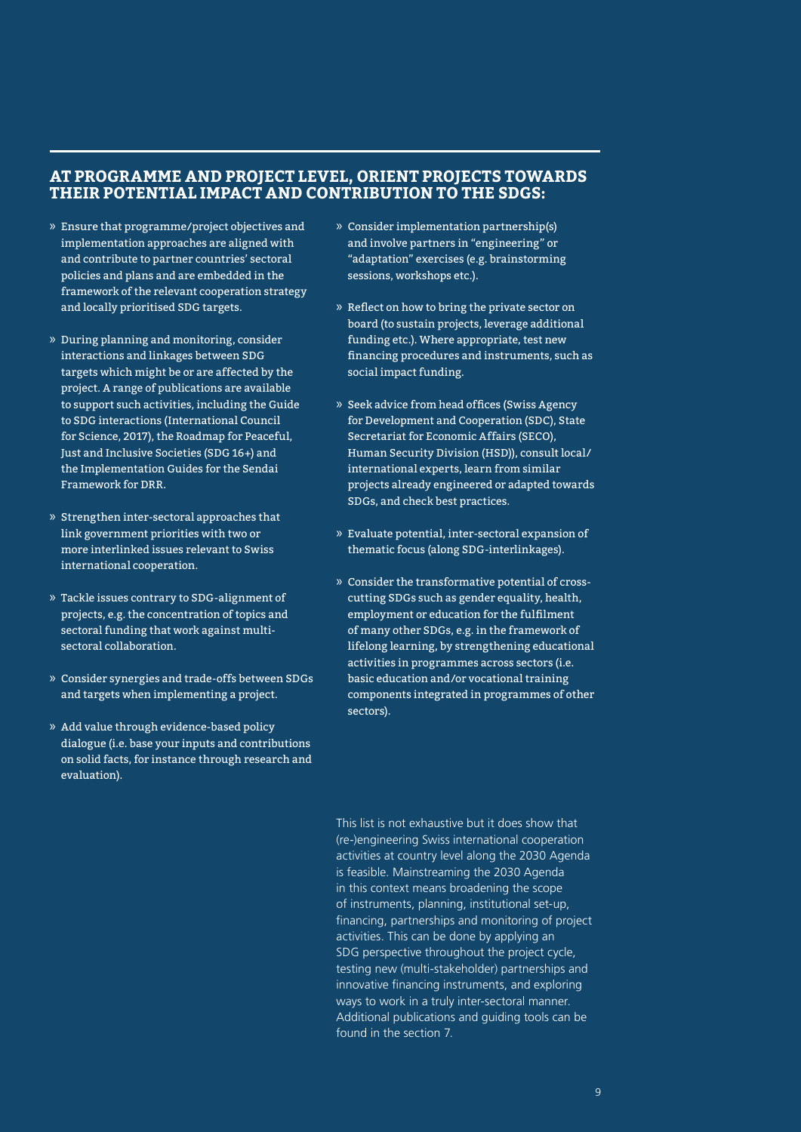### **AT PROGRAMME AND PROJECT LEVEL, ORIENT PROJECTS TOWARDS THEIR POTENTIAL IMPACT AND CONTRIBUTION TO THE SDGS:**

- » Ensure that programme/project objectives and implementation approaches are aligned with and contribute to partner countries' sectoral policies and plans and are embedded in the framework of the relevant cooperation strategy and locally prioritised SDG targets.
- » During planning and monitoring, consider interactions and linkages between SDG targets which might be or are affected by the project. A range of publications are available to support such activities, including the [Guide](https://www.icsu.org/cms/2017/05/SDGs-Guide-to-Interactions.pdf)  [to SDG interactions](https://www.icsu.org/cms/2017/05/SDGs-Guide-to-Interactions.pdf) (International Council for Science, 2017), the [Roadmap for Peaceful,](http://cic.nyu.edu/programs/sdg16plus)  [Just and Inclusive Societies \(SDG 16+\)](http://cic.nyu.edu/programs/sdg16plus) and the [Implementation Guides for the Sendai](https://www.preventionweb.net/drr-framework/sendai-framework/wordsintoaction/)  [Framework for DRR.](https://www.preventionweb.net/drr-framework/sendai-framework/wordsintoaction/)
- » Strengthen inter-sectoral approaches that link government priorities with two or more interlinked issues relevant to Swiss international cooperation.
- » Tackle issues contrary to SDG-alignment of projects, e.g. the concentration of topics and sectoral funding that work against multisectoral collaboration.
- » Consider synergies and trade-offs between SDGs and targets when implementing a project.
- » Add value through evidence-based policy dialogue (i.e. base your inputs and contributions on solid facts, for instance through research and evaluation).
- » Consider implementation partnership(s) and involve partners in "engineering" or "adaptation" exercises (e.g. brainstorming sessions, workshops etc.).
- » Reflect on how to bring the private sector on board (to sustain projects, leverage additional funding etc.). Where appropriate, test new financing procedures and instruments, such as social impact funding.
- » Seek advice from head offices (Swiss Agency for Development and Cooperation (SDC), State Secretariat for Economic Affairs (SECO), Human Security Division (HSD)), consult local/ international experts, learn from similar projects already engineered or adapted towards SDGs, and check best practices.
- » Evaluate potential, inter-sectoral expansion of thematic focus (along SDG-interlinkages).
- » Consider the transformative potential of crosscutting SDGs such as gender equality, health, employment or education for the fulfilment of many other SDGs, e.g. in the framework of lifelong learning, by strengthening educational activities in programmes across sectors (i.e. basic education and/or vocational training components integrated in programmes of other sectors).

This list is not exhaustive but it does show that (re-)engineering Swiss international cooperation activities at country level along the 2030 Agenda is feasible. Mainstreaming the 2030 Agenda in this context means broadening the scope of instruments, planning, institutional set-up, financing, partnerships and monitoring of project activities. This can be done by applying an SDG perspective throughout the project cycle, testing new (multi-stakeholder) partnerships and innovative financing instruments, and exploring ways to work in a truly inter-sectoral manner. Additional publications and guiding tools can be found in the section 7.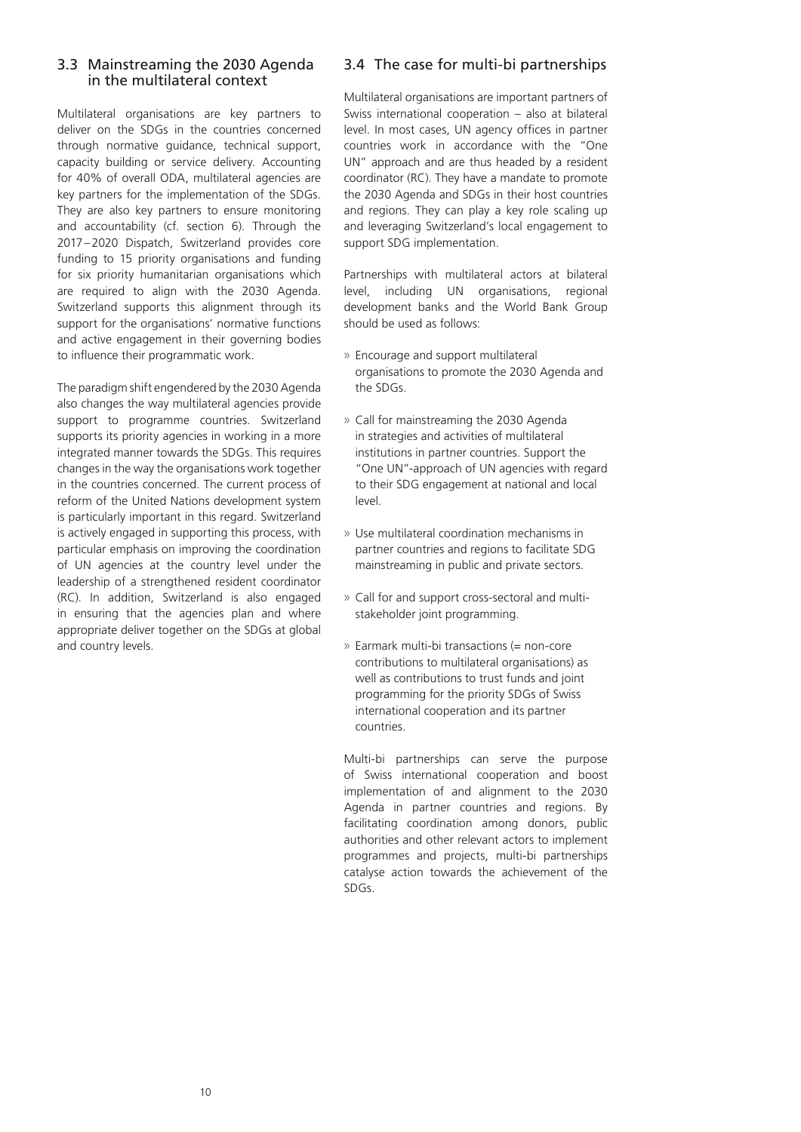#### <span id="page-9-0"></span>3.3 Mainstreaming the 2030 Agenda in the multilateral context

Multilateral organisations are key partners to deliver on the SDGs in the countries concerned through normative guidance, technical support, capacity building or service delivery. Accounting for 40% of overall ODA, multilateral agencies are key partners for the implementation of the SDGs. They are also key partners to ensure monitoring and accountability (cf. section 6). Through the 2017–2020 Dispatch, Switzerland provides core funding to 15 priority organisations and funding for six priority humanitarian organisations which are required to align with the 2030 Agenda. Switzerland supports this alignment through its support for the organisations' normative functions and active engagement in their governing bodies to influence their programmatic work.

The paradigm shift engendered by the 2030 Agenda also changes the way multilateral agencies provide support to programme countries. Switzerland supports its priority agencies in working in a more integrated manner towards the SDGs. This requires changes in the way the organisations work together in the countries concerned. The current process of reform of the United Nations development system is particularly important in this regard. Switzerland is actively engaged in supporting this process, with particular emphasis on improving the coordination of UN agencies at the country level under the leadership of a strengthened resident coordinator (RC). In addition, Switzerland is also engaged in ensuring that the agencies plan and where appropriate deliver together on the SDGs at global and country levels.

### 3.4 The case for multi-bi partnerships

Multilateral organisations are important partners of Swiss international cooperation – also at bilateral level. In most cases, UN agency offices in partner countries work in accordance with the "One UN" approach and are thus headed by a resident coordinator (RC). They have a mandate to promote the 2030 Agenda and SDGs in their host countries and regions. They can play a key role scaling up and leveraging Switzerland's local engagement to support SDG implementation.

Partnerships with multilateral actors at bilateral level, including UN organisations, regional development banks and the World Bank Group should be used as follows:

- » Encourage and support multilateral organisations to promote the 2030 Agenda and the SDGs.
- » Call for mainstreaming the 2030 Agenda in strategies and activities of multilateral institutions in partner countries. Support the "One UN"-approach of UN agencies with regard to their SDG engagement at national and local level.
- » Use multilateral coordination mechanisms in partner countries and regions to facilitate SDG mainstreaming in public and private sectors.
- » Call for and support cross-sectoral and multistakeholder joint programming.
- » Earmark multi-bi transactions (= non-core contributions to multilateral organisations) as well as contributions to trust funds and joint programming for the priority SDGs of Swiss international cooperation and its partner countries.

Multi-bi partnerships can serve the purpose of Swiss international cooperation and boost implementation of and alignment to the 2030 Agenda in partner countries and regions. By facilitating coordination among donors, public authorities and other relevant actors to implement programmes and projects, multi-bi partnerships catalyse action towards the achievement of the SDGs.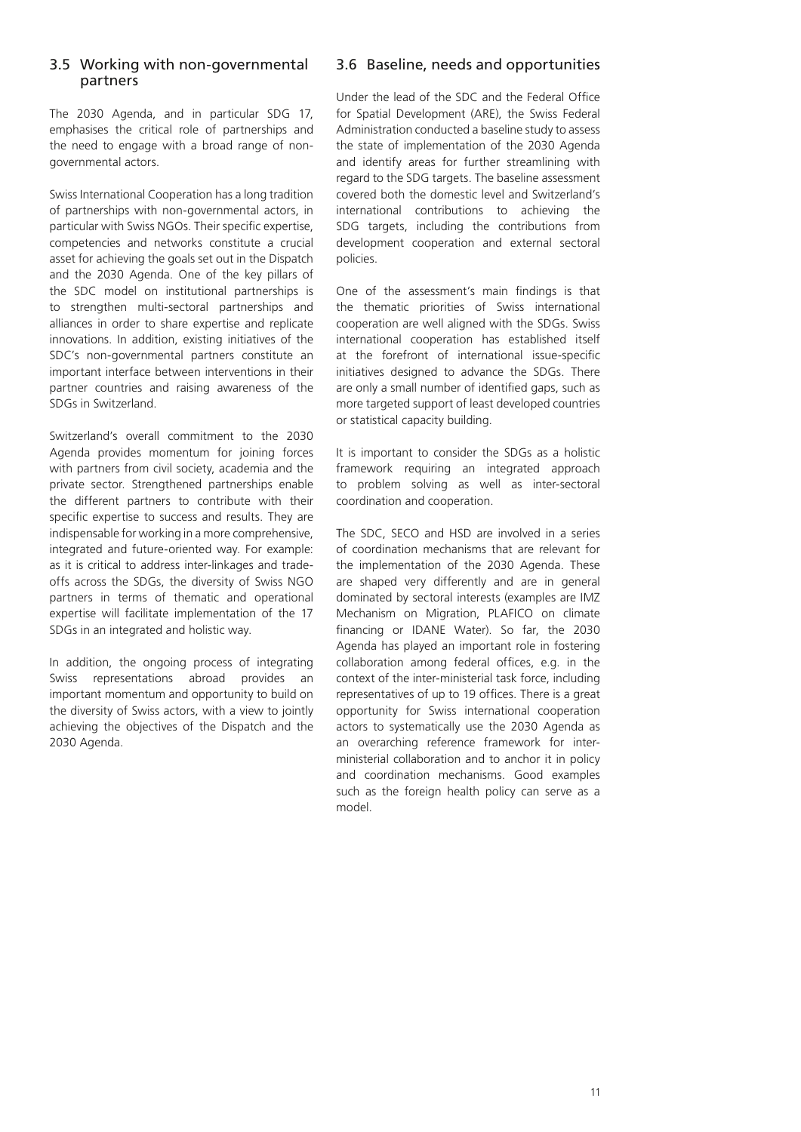#### <span id="page-10-0"></span>3.5 Working with non-governmental partners

The 2030 Agenda, and in particular SDG 17, emphasises the critical role of partnerships and the need to engage with a broad range of nongovernmental actors.

Swiss International Cooperation has a long tradition of partnerships with non-governmental actors, in particular with Swiss NGOs. Their specific expertise, competencies and networks constitute a crucial asset for achieving the goals set out in the Dispatch and the 2030 Agenda. One of the key pillars of the SDC model on institutional partnerships is to strengthen multi-sectoral partnerships and alliances in order to share expertise and replicate innovations. In addition, existing initiatives of the SDC's non-governmental partners constitute an important interface between interventions in their partner countries and raising awareness of the SDGs in Switzerland.

Switzerland's overall commitment to the 2030 Agenda provides momentum for joining forces with partners from civil society, academia and the private sector. Strengthened partnerships enable the different partners to contribute with their specific expertise to success and results. They are indispensable for working in a more comprehensive, integrated and future-oriented way. For example: as it is critical to address inter-linkages and tradeoffs across the SDGs, the diversity of Swiss NGO partners in terms of thematic and operational expertise will facilitate implementation of the 17 SDGs in an integrated and holistic way.

In addition, the ongoing process of integrating Swiss representations abroad provides an important momentum and opportunity to build on the diversity of Swiss actors, with a view to jointly achieving the objectives of the Dispatch and the 2030 Agenda.

#### 3.6 Baseline, needs and opportunities

Under the lead of the SDC and the Federal Office for Spatial Development (ARE), the Swiss Federal Administration conducted a baseline study to assess the state of implementation of the 2030 Agenda and identify areas for further streamlining with regard to the SDG targets. The baseline assessment covered both the domestic level and Switzerland's international contributions to achieving the SDG targets, including the contributions from development cooperation and external sectoral policies.

One of the assessment's main findings is that the thematic priorities of Swiss international cooperation are well aligned with the SDGs. Swiss international cooperation has established itself at the forefront of international issue-specific initiatives designed to advance the SDGs. There are only a small number of identified gaps, such as more targeted support of least developed countries or statistical capacity building.

It is important to consider the SDGs as a holistic framework requiring an integrated approach to problem solving as well as inter-sectoral coordination and cooperation.

The SDC, SECO and HSD are involved in a series of coordination mechanisms that are relevant for the implementation of the 2030 Agenda. These are shaped very differently and are in general dominated by sectoral interests (examples are IMZ Mechanism on Migration, PLAFICO on climate financing or IDANE Water). So far, the 2030 Agenda has played an important role in fostering collaboration among federal offices, e.g. in the context of the inter-ministerial task force, including representatives of up to 19 offices. There is a great opportunity for Swiss international cooperation actors to systematically use the 2030 Agenda as an overarching reference framework for interministerial collaboration and to anchor it in policy and coordination mechanisms. Good examples such as the foreign health policy can serve as a model.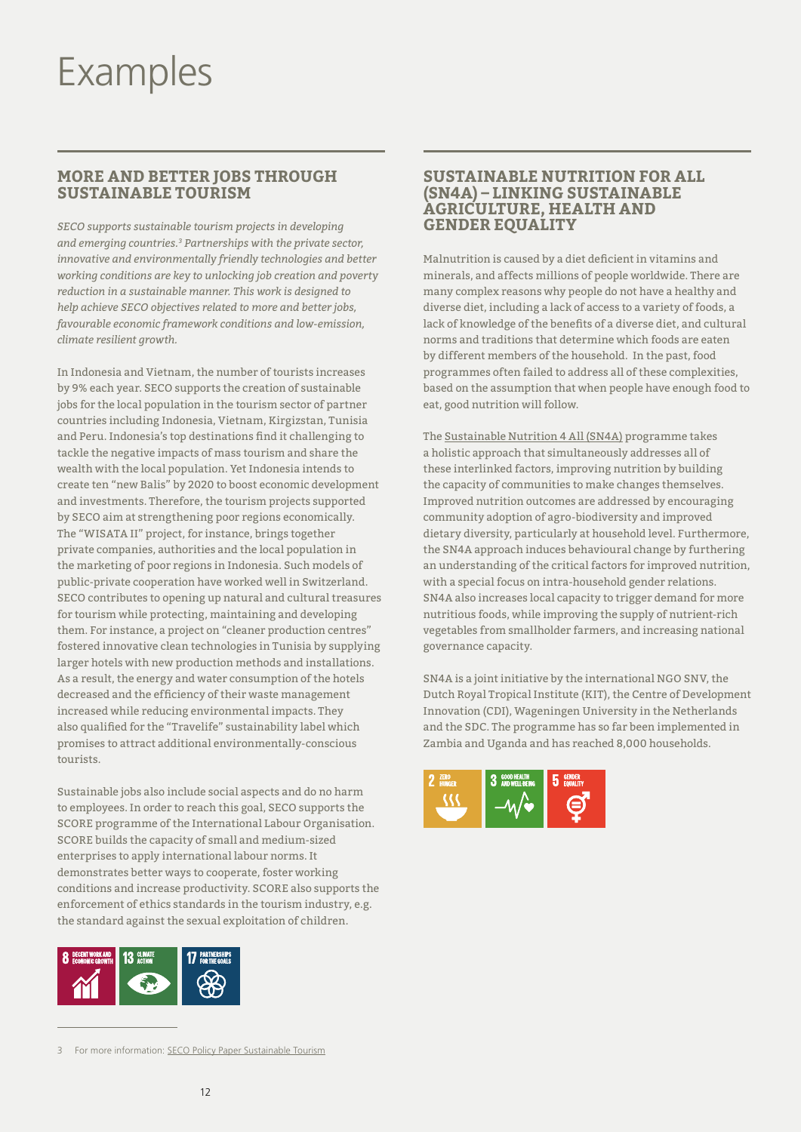### <span id="page-11-0"></span>**MORE AND BETTER JOBS THROUGH SUSTAINABLE TOURISM**

*SECO supports sustainable tourism projects in developing and emerging countries.3 Partnerships with the private sector, innovative and environmentally friendly technologies and better working conditions are key to unlocking job creation and poverty reduction in a sustainable manner. This work is designed to help achieve SECO objectives related to more and better jobs, favourable economic framework conditions and low-emission, climate resilient growth.*

In Indonesia and Vietnam, the number of tourists increases by 9% each year. SECO supports the creation of sustainable jobs for the local population in the tourism sector of partner countries including Indonesia, Vietnam, Kirgizstan, Tunisia and Peru. Indonesia's top destinations find it challenging to tackle the negative impacts of mass tourism and share the wealth with the local population. Yet Indonesia intends to create ten "new Balis" by 2020 to boost economic development and investments. Therefore, the tourism projects supported by SECO aim at strengthening poor regions economically. The "WISATA II" project, for instance, brings together private companies, authorities and the local population in the marketing of poor regions in Indonesia. Such models of public-private cooperation have worked well in Switzerland. SECO contributes to opening up natural and cultural treasures for tourism while protecting, maintaining and developing them. For instance, a project on "cleaner production centres" fostered innovative clean technologies in Tunisia by supplying larger hotels with new production methods and installations. As a result, the energy and water consumption of the hotels decreased and the efficiency of their waste management increased while reducing environmental impacts. They also qualified for the "Travelife" sustainability label which promises to attract additional environmentally-conscious tourists.

Sustainable jobs also include social aspects and do no harm to employees. In order to reach this goal, SECO supports the SCORE programme of the International Labour Organisation. SCORE builds the capacity of small and medium-sized enterprises to apply international labour norms. It demonstrates better ways to cooperate, foster working conditions and increase productivity. SCORE also supports the enforcement of ethics standards in the tourism industry, e.g. the standard against the sexual exploitation of children.

![](_page_11_Picture_5.jpeg)

3 For more information: [SECO Policy Paper Sustainable Tourism](https://www.seco-cooperation.admin.ch/secocoop/en/home/documentation/thematic-dossiers.html)

#### **SUSTAINABLE NUTRITION FOR ALL (SN4A) – LINKING SUSTAINABLE AGRICULTURE, HEALTH AND GENDER EQUALITY**

Malnutrition is caused by a diet deficient in vitamins and minerals, and affects millions of people worldwide. There are many complex reasons why people do not have a healthy and diverse diet, including a lack of access to a variety of foods, a lack of knowledge of the benefits of a diverse diet, and cultural norms and traditions that determine which foods are eaten by different members of the household. In the past, food programmes often failed to address all of these complexities, based on the assumption that when people have enough food to eat, good nutrition will follow.

The [Sustainable Nutrition 4 All \(SN4A\)](http://www.snv.org/project/sustainable-nutrition-all-sn4a-uganda-and-zambia) programme takes a holistic approach that simultaneously addresses all of these interlinked factors, improving nutrition by building the capacity of communities to make changes themselves. Improved nutrition outcomes are addressed by encouraging community adoption of agro-biodiversity and improved dietary diversity, particularly at household level. Furthermore, the SN4A approach induces behavioural change by furthering an understanding of the critical factors for improved nutrition, with a special focus on intra-household gender relations. SN4A also increases local capacity to trigger demand for more nutritious foods, while improving the supply of nutrient-rich vegetables from smallholder farmers, and increasing national governance capacity.

SN4A is a joint initiative by the international NGO SNV, the Dutch Royal Tropical Institute (KIT), the Centre of Development Innovation (CDI), Wageningen University in the Netherlands and the SDC. The programme has so far been implemented in Zambia and Uganda and has reached 8,000 households.

![](_page_11_Picture_11.jpeg)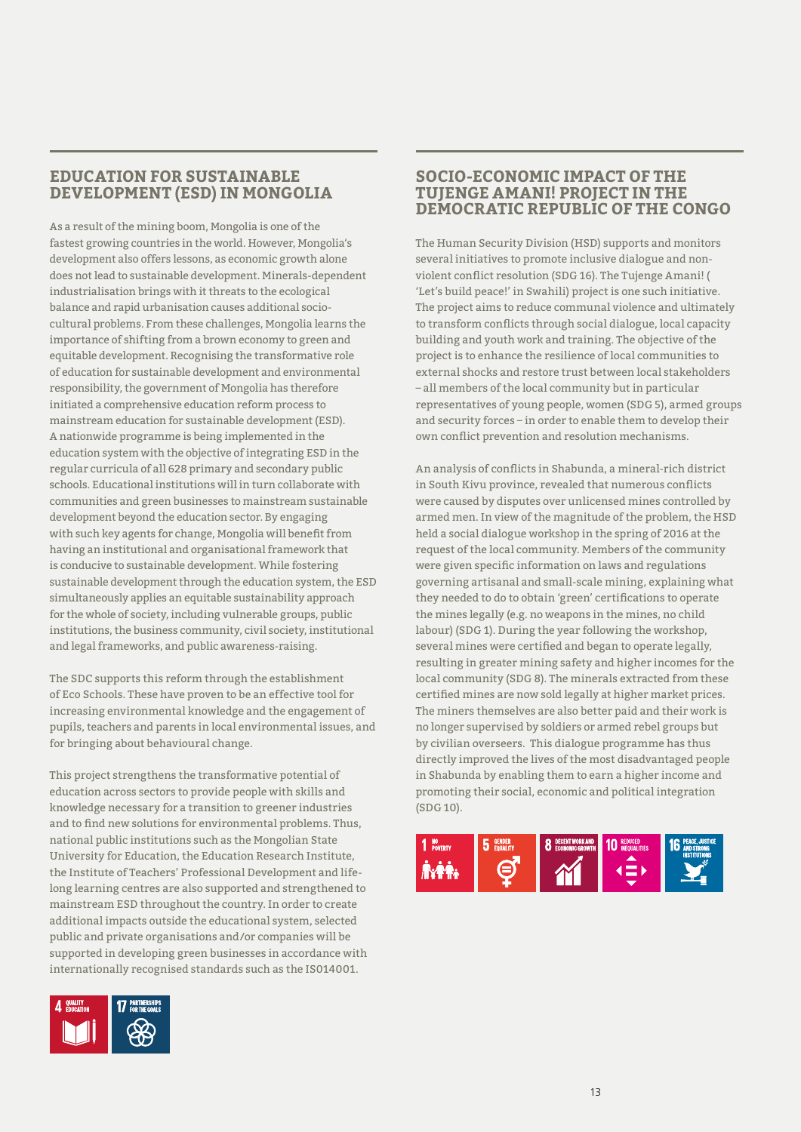### **EDUCATION FOR SUSTAINABLE DEVELOPMENT (ESD) IN MONGOLIA**

As a result of the mining boom, Mongolia is one of the fastest growing countries in the world. However, Mongolia's development also offers lessons, as economic growth alone does not lead to sustainable development. Minerals-dependent industrialisation brings with it threats to the ecological balance and rapid urbanisation causes additional sociocultural problems. From these challenges, Mongolia learns the importance of shifting from a brown economy to green and equitable development. Recognising the transformative role of education for sustainable development and environmental responsibility, the government of Mongolia has therefore initiated a comprehensive education reform process to mainstream education for sustainable development (ESD). A nationwide programme is being implemented in the education system with the objective of integrating ESD in the regular curricula of all 628 primary and secondary public schools. Educational institutions will in turn collaborate with communities and green businesses to mainstream sustainable development beyond the education sector. By engaging with such key agents for change, Mongolia will benefit from having an institutional and organisational framework that is conducive to sustainable development. While fostering sustainable development through the education system, the ESD simultaneously applies an equitable sustainability approach for the whole of society, including vulnerable groups, public institutions, the business community, civil society, institutional and legal frameworks, and public awareness-raising.

The SDC supports this reform through the establishment of Eco Schools. These have proven to be an effective tool for increasing environmental knowledge and the engagement of pupils, teachers and parents in local environmental issues, and for bringing about behavioural change.

This project strengthens the transformative potential of education across sectors to provide people with skills and knowledge necessary for a transition to greener industries and to find new solutions for environmental problems. Thus, national public institutions such as the Mongolian State University for Education, the Education Research Institute, the Institute of Teachers' Professional Development and lifelong learning centres are also supported and strengthened to mainstream ESD throughout the country. In order to create additional impacts outside the educational system, selected public and private organisations and/or companies will be supported in developing green businesses in accordance with internationally recognised standards such as the IS014001.

![](_page_12_Picture_4.jpeg)

### **SOCIO-ECONOMIC IMPACT OF THE TUJENGE AMANI! PROJECT IN THE DEMOCRATIC REPUBLIC OF THE CONGO**

The Human Security Division (HSD) supports and monitors several initiatives to promote inclusive dialogue and nonviolent conflict resolution (SDG 16). The Tujenge Amani! ( 'Let's build peace!' in Swahili) project is one such initiative. The project aims to reduce communal violence and ultimately to transform conflicts through social dialogue, local capacity building and youth work and training. The objective of the project is to enhance the resilience of local communities to external shocks and restore trust between local stakeholders – all members of the local community but in particular representatives of young people, women (SDG 5), armed groups and security forces – in order to enable them to develop their own conflict prevention and resolution mechanisms.

An analysis of conflicts in Shabunda, a mineral-rich district in South Kivu province, revealed that numerous conflicts were caused by disputes over unlicensed mines controlled by armed men. In view of the magnitude of the problem, the HSD held a social dialogue workshop in the spring of 2016 at the request of the local community. Members of the community were given specific information on laws and regulations governing artisanal and small-scale mining, explaining what they needed to do to obtain 'green' certifications to operate the mines legally (e.g. no weapons in the mines, no child labour) (SDG 1). During the year following the workshop, several mines were certified and began to operate legally, resulting in greater mining safety and higher incomes for the local community (SDG 8). The minerals extracted from these certified mines are now sold legally at higher market prices. The miners themselves are also better paid and their work is no longer supervised by soldiers or armed rebel groups but by civilian overseers. This dialogue programme has thus directly improved the lives of the most disadvantaged people in Shabunda by enabling them to earn a higher income and promoting their social, economic and political integration (SDG 10).

![](_page_12_Figure_8.jpeg)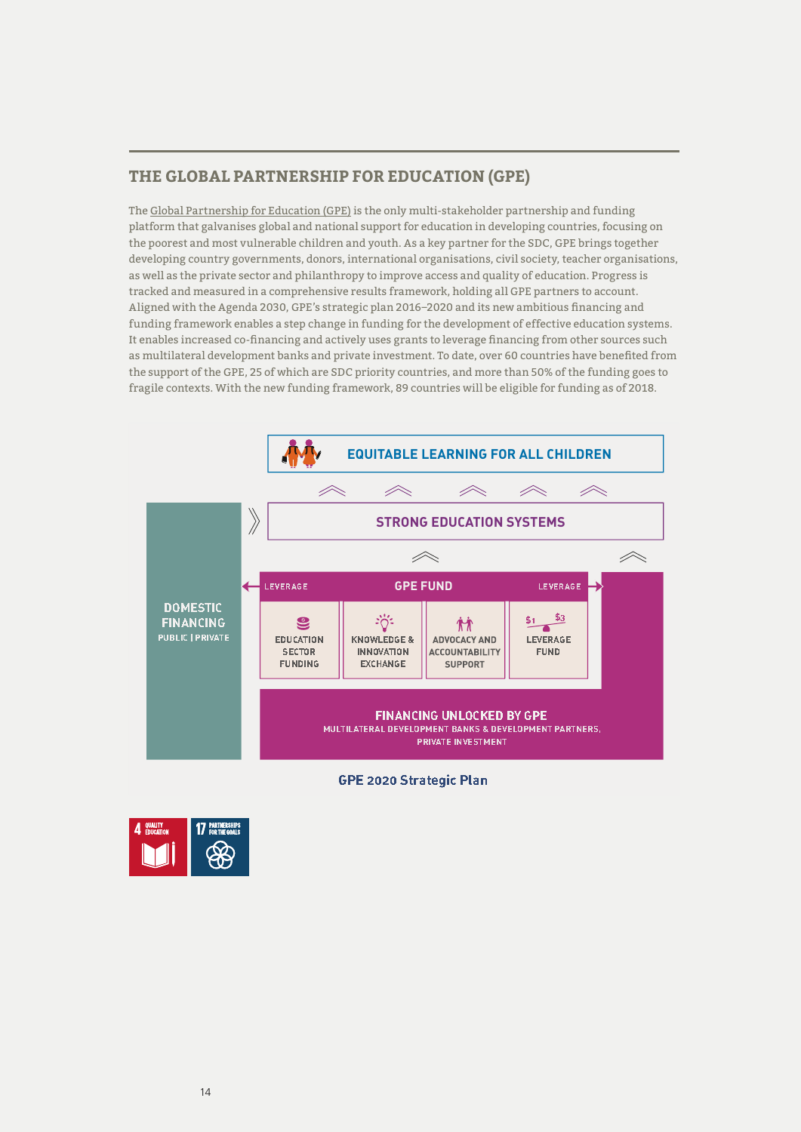### **THE GLOBAL PARTNERSHIP FOR EDUCATION (GPE)**

The [Global Partnership for Education \(GPE\)](https://www.globalpartnership.org/) is the only multi-stakeholder partnership and funding platform that galvanises global and national support for education in developing countries, focusing on the poorest and most vulnerable children and youth. As a key partner for the SDC, GPE brings together developing country governments, donors, international organisations, civil society, teacher organisations, as well as the private sector and philanthropy to improve access and quality of education. Progress is tracked and measured in a comprehensive results framework, holding all GPE partners to account. Aligned with the Agenda 2030, GPE's strategic plan 2016–2020 and its new ambitious financing and funding framework enables a step change in funding for the development of effective education systems. It enables increased co-financing and actively uses grants to leverage financing from other sources such as multilateral development banks and private investment. To date, over 60 countries have benefited from the support of the GPE, 25 of which are SDC priority countries, and more than 50% of the funding goes to fragile contexts. With the new funding framework, 89 countries will be eligible for funding as of 2018.

![](_page_13_Figure_2.jpeg)

![](_page_13_Picture_3.jpeg)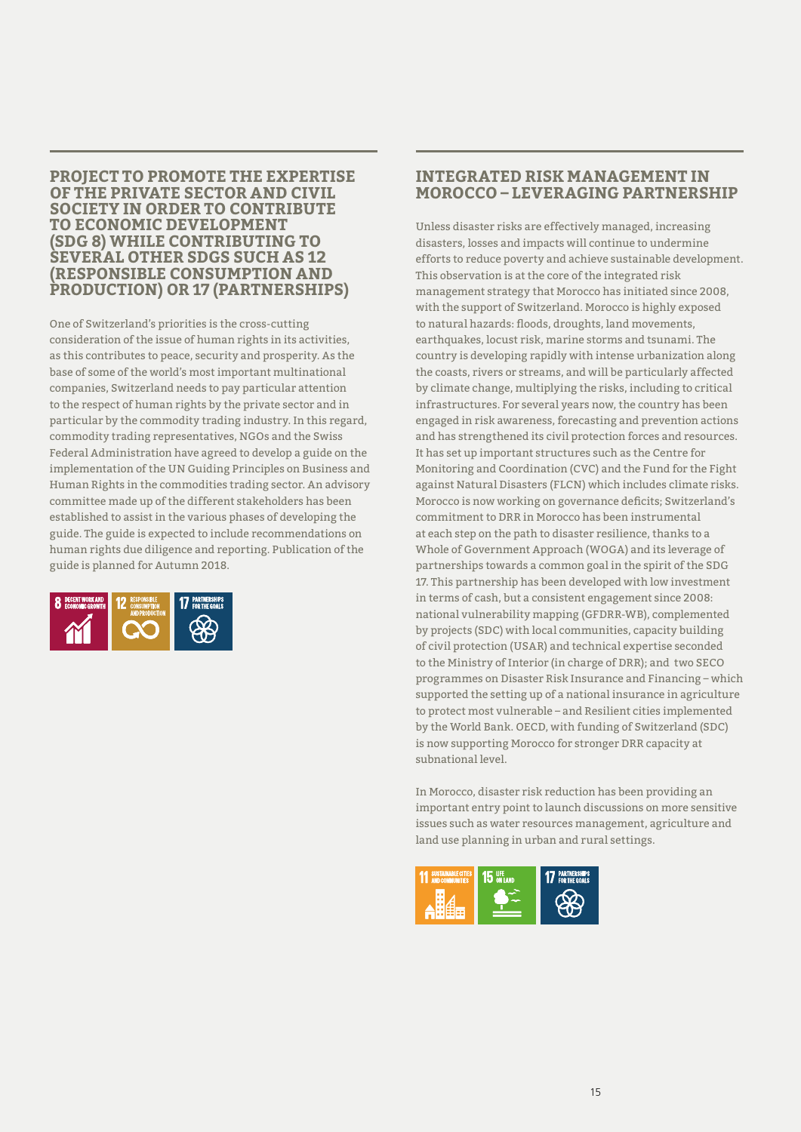#### **PROJECT TO PROMOTE THE EXPERTISE OF THE PRIVATE SECTOR AND CIVIL SOCIETY IN ORDER TO CONTRIBUTE TO ECONOMIC DEVELOPMENT (SDG 8) WHILE CONTRIBUTING TO SEVERAL OTHER SDGS SUCH AS 12 (RESPONSIBLE CONSUMPTION AND PRODUCTION) OR 17 (PARTNERSHIPS)**

One of Switzerland's priorities is the cross-cutting consideration of the issue of human rights in its activities, as this contributes to peace, security and prosperity. As the base of some of the world's most important multinational companies, Switzerland needs to pay particular attention to the respect of human rights by the private sector and in particular by the commodity trading industry. In this regard, commodity trading representatives, NGOs and the Swiss Federal Administration have agreed to develop a guide on the implementation of the UN Guiding Principles on Business and Human Rights in the commodities trading sector. An advisory committee made up of the different stakeholders has been established to assist in the various phases of developing the guide. The guide is expected to include recommendations on human rights due diligence and reporting. Publication of the guide is planned for Autumn 2018.

![](_page_14_Picture_2.jpeg)

### **INTEGRATED RISK MANAGEMENT IN MOROCCO – LEVERAGING PARTNERSHIP**

Unless disaster risks are effectively managed, increasing disasters, losses and impacts will continue to undermine efforts to reduce poverty and achieve sustainable development. This observation is at the core of the integrated risk management strategy that Morocco has initiated since 2008, with the support of Switzerland. Morocco is highly exposed to natural hazards: floods, droughts, land movements, earthquakes, locust risk, marine storms and tsunami. The country is developing rapidly with intense urbanization along the coasts, rivers or streams, and will be particularly affected by climate change, multiplying the risks, including to critical infrastructures. For several years now, the country has been engaged in risk awareness, forecasting and prevention actions and has strengthened its civil protection forces and resources. It has set up important structures such as the Centre for Monitoring and Coordination (CVC) and the Fund for the Fight against Natural Disasters (FLCN) which includes climate risks. Morocco is now working on governance deficits; Switzerland's commitment to DRR in Morocco has been instrumental at each step on the path to disaster resilience, thanks to a Whole of Government Approach (WOGA) and its leverage of partnerships towards a common goal in the spirit of the SDG 17. This partnership has been developed with low investment in terms of cash, but a consistent engagement since 2008: national vulnerability mapping (GFDRR-WB), complemented by projects (SDC) with local communities, capacity building of civil protection (USAR) and technical expertise seconded to the Ministry of Interior (in charge of DRR); and two SECO programmes on Disaster Risk Insurance and Financing – which supported the setting up of a national insurance in agriculture to protect most vulnerable – and Resilient cities implemented by the World Bank. OECD, with funding of Switzerland (SDC) is now supporting Morocco for stronger DRR capacity at subnational level.

In Morocco, disaster risk reduction has been providing an important entry point to launch discussions on more sensitive issues such as water resources management, agriculture and land use planning in urban and rural settings.

![](_page_14_Picture_6.jpeg)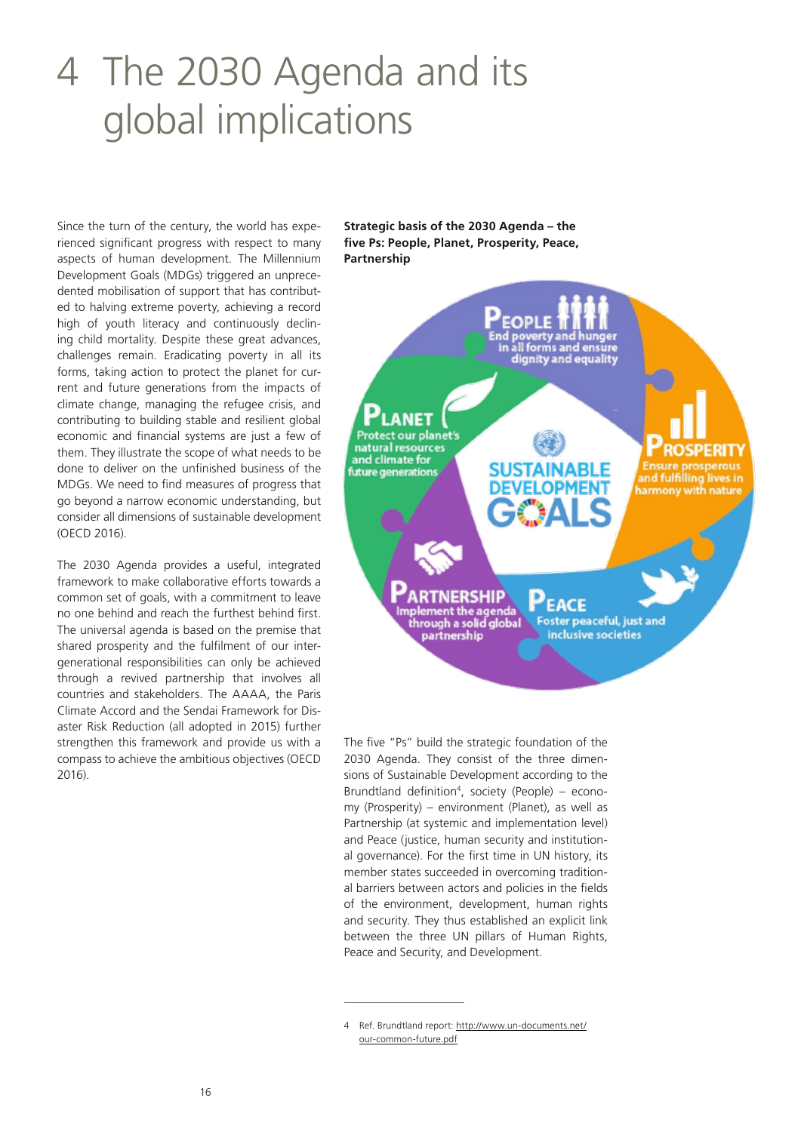# <span id="page-15-0"></span>4 The 2030 Agenda and its global implications

Since the turn of the century, the world has experienced significant progress with respect to many aspects of human development. The Millennium Development Goals (MDGs) triggered an unprecedented mobilisation of support that has contributed to halving extreme poverty, achieving a record high of youth literacy and continuously declining child mortality. Despite these great advances, challenges remain. Eradicating poverty in all its forms, taking action to protect the planet for current and future generations from the impacts of climate change, managing the refugee crisis, and contributing to building stable and resilient global economic and financial systems are just a few of them. They illustrate the scope of what needs to be done to deliver on the unfinished business of the MDGs. We need to find measures of progress that go beyond a narrow economic understanding, but consider all dimensions of sustainable development (OECD 2016).

The 2030 Agenda provides a useful, integrated framework to make collaborative efforts towards a common set of goals, with a commitment to leave no one behind and reach the furthest behind first. The universal agenda is based on the premise that shared prosperity and the fulfilment of our intergenerational responsibilities can only be achieved through a revived partnership that involves all countries and stakeholders. The AAAA, the Paris Climate Accord and the Sendai Framework for Disaster Risk Reduction (all adopted in 2015) further strengthen this framework and provide us with a compass to achieve the ambitious objectives (OECD 2016).

**Strategic basis of the 2030 Agenda – the five Ps: People, Planet, Prosperity, Peace, Partnership**

![](_page_15_Figure_4.jpeg)

The five "Ps" build the strategic foundation of the 2030 Agenda. They consist of the three dimensions of Sustainable Development according to the Brundtland definition4, society (People) – economy (Prosperity) – environment (Planet), as well as Partnership (at systemic and implementation level) and Peace (justice, human security and institutional governance). For the first time in UN history, its member states succeeded in overcoming traditional barriers between actors and policies in the fields of the environment, development, human rights and security. They thus established an explicit link between the three UN pillars of Human Rights, Peace and Security, and Development.

<sup>4</sup> Ref. Brundtland report: [http://www.un-documents.net/](http://www.un-documents.net/our-common-future.pdf) [our-common-future.pdf](http://www.un-documents.net/our-common-future.pdf)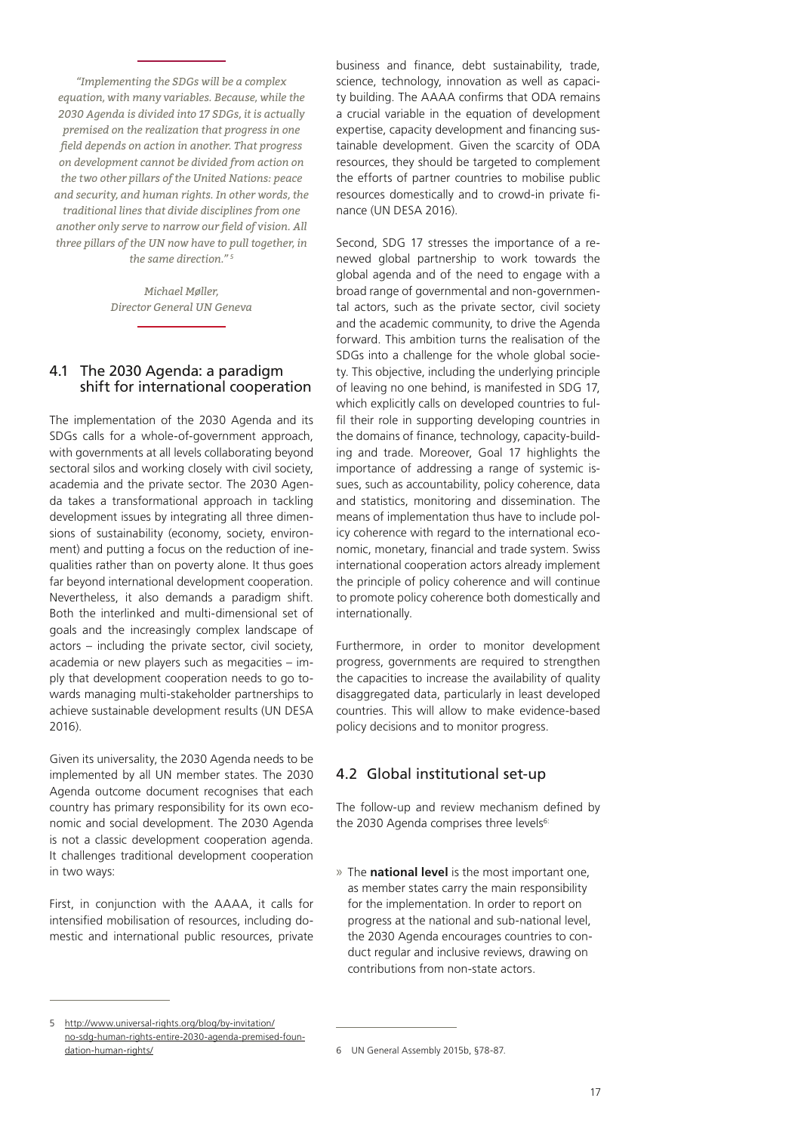<span id="page-16-0"></span>*"Implementing the SDGs will be a complex equation, with many variables. Because, while the 2030 Agenda is divided into 17 SDGs, it is actually premised on the realization that progress in one field depends on action in another. That progress on development cannot be divided from action on the two other pillars of the United Nations: peace and security, and human rights. In other words, the traditional lines that divide disciplines from one another only serve to narrow our field of vision. All three pillars of the UN now have to pull together, in the same direction." 5*

> *Michael Møller, Director General UN Geneva*

#### 4.1 The 2030 Agenda: a paradigm shift for international cooperation

The implementation of the 2030 Agenda and its SDGs calls for a whole-of-government approach, with governments at all levels collaborating beyond sectoral silos and working closely with civil society, academia and the private sector. The 2030 Agenda takes a transformational approach in tackling development issues by integrating all three dimensions of sustainability (economy, society, environment) and putting a focus on the reduction of inequalities rather than on poverty alone. It thus goes far beyond international development cooperation. Nevertheless, it also demands a paradigm shift. Both the interlinked and multi-dimensional set of goals and the increasingly complex landscape of actors – including the private sector, civil society, academia or new players such as megacities – imply that development cooperation needs to go towards managing multi-stakeholder partnerships to achieve sustainable development results (UN DESA 2016).

Given its universality, the 2030 Agenda needs to be implemented by all UN member states. The 2030 Agenda outcome document recognises that each country has primary responsibility for its own economic and social development. The 2030 Agenda is not a classic development cooperation agenda. It challenges traditional development cooperation in two ways:

First, in conjunction with the AAAA, it calls for intensified mobilisation of resources, including domestic and international public resources, private

5 [http://www.universal-rights.org/blog/by-invitation/](http://www.universal-rights.org/blog/by-invitation/no-sdg-human-rights-entire-2030-agenda-premised-foundation-human-rights/) [no-sdg-human-rights-entire-2030-agenda-premised-foun](http://www.universal-rights.org/blog/by-invitation/no-sdg-human-rights-entire-2030-agenda-premised-foundation-human-rights/)[dation-human-rights/](http://www.universal-rights.org/blog/by-invitation/no-sdg-human-rights-entire-2030-agenda-premised-foundation-human-rights/)

business and finance, debt sustainability, trade, science, technology, innovation as well as capacity building. The AAAA confirms that ODA remains a crucial variable in the equation of development expertise, capacity development and financing sustainable development. Given the scarcity of ODA resources, they should be targeted to complement the efforts of partner countries to mobilise public resources domestically and to crowd-in private finance (UN DESA 2016).

Second, SDG 17 stresses the importance of a renewed global partnership to work towards the global agenda and of the need to engage with a broad range of governmental and non-governmental actors, such as the private sector, civil society and the academic community, to drive the Agenda forward. This ambition turns the realisation of the SDGs into a challenge for the whole global society. This objective, including the underlying principle of leaving no one behind, is manifested in SDG 17, which explicitly calls on developed countries to fulfil their role in supporting developing countries in the domains of finance, technology, capacity-building and trade. Moreover, Goal 17 highlights the importance of addressing a range of systemic issues, such as accountability, policy coherence, data and statistics, monitoring and dissemination. The means of implementation thus have to include policy coherence with regard to the international economic, monetary, financial and trade system. Swiss international cooperation actors already implement the principle of policy coherence and will continue to promote policy coherence both domestically and internationally.

Furthermore, in order to monitor development progress, governments are required to strengthen the capacities to increase the availability of quality disaggregated data, particularly in least developed countries. This will allow to make evidence-based policy decisions and to monitor progress.

#### 4.2 Global institutional set-up

The follow-up and review mechanism defined by the 2030 Agenda comprises three levels<sup>6</sup>

» The **national level** is the most important one, as member states carry the main responsibility for the implementation. In order to report on progress at the national and sub-national level, the 2030 Agenda encourages countries to conduct regular and inclusive reviews, drawing on contributions from non-state actors.

<sup>6</sup> UN General Assembly 2015b, §78-87.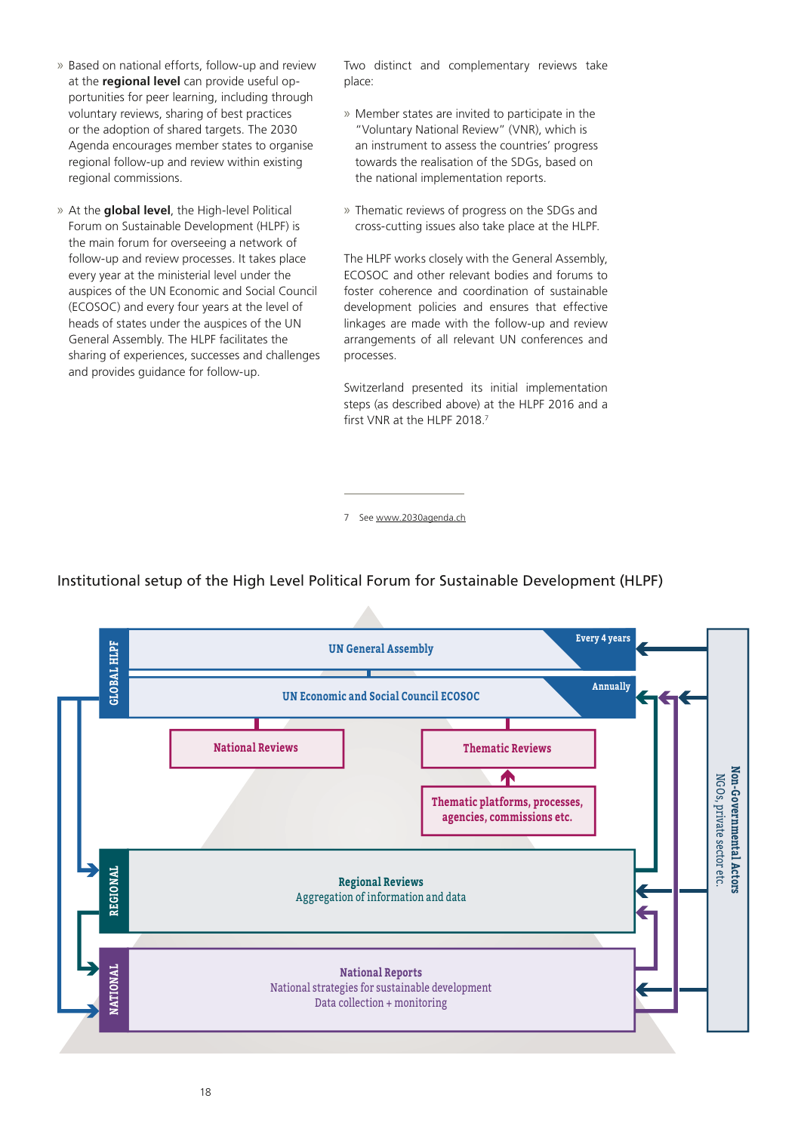- » Based on national efforts, follow-up and review at the **regional level** can provide useful opportunities for peer learning, including through voluntary reviews, sharing of best practices or the adoption of shared targets. The 2030 Agenda encourages member states to organise regional follow-up and review within existing regional commissions.
- » At the **global level**, the High-level Political Forum on Sustainable Development (HLPF) is the main forum for overseeing a network of follow-up and review processes. It takes place every year at the ministerial level under the auspices of the UN Economic and Social Council (ECOSOC) and every four years at the level of heads of states under the auspices of the UN General Assembly. The HLPF facilitates the sharing of experiences, successes and challenges and provides guidance for follow-up.

Two distinct and complementary reviews take place:

- » Member states are invited to participate in the "Voluntary National Review" (VNR), which is an instrument to assess the countries' progress towards the realisation of the SDGs, based on the national implementation reports.
- » Thematic reviews of progress on the SDGs and cross-cutting issues also take place at the HLPF.

The HLPF works closely with the General Assembly, ECOSOC and other relevant bodies and forums to foster coherence and coordination of sustainable development policies and ensures that effective linkages are made with the follow-up and review arrangements of all relevant UN conferences and processes.

Switzerland presented its initial implementation steps (as described above) at the HLPF 2016 and a first VNR at the HLPF 2018.7

7 See [www.2030agenda.ch](http://www.2030agenda.ch)

### Institutional setup of the High Level Political Forum for Sustainable Development (HLPF)

![](_page_17_Figure_9.jpeg)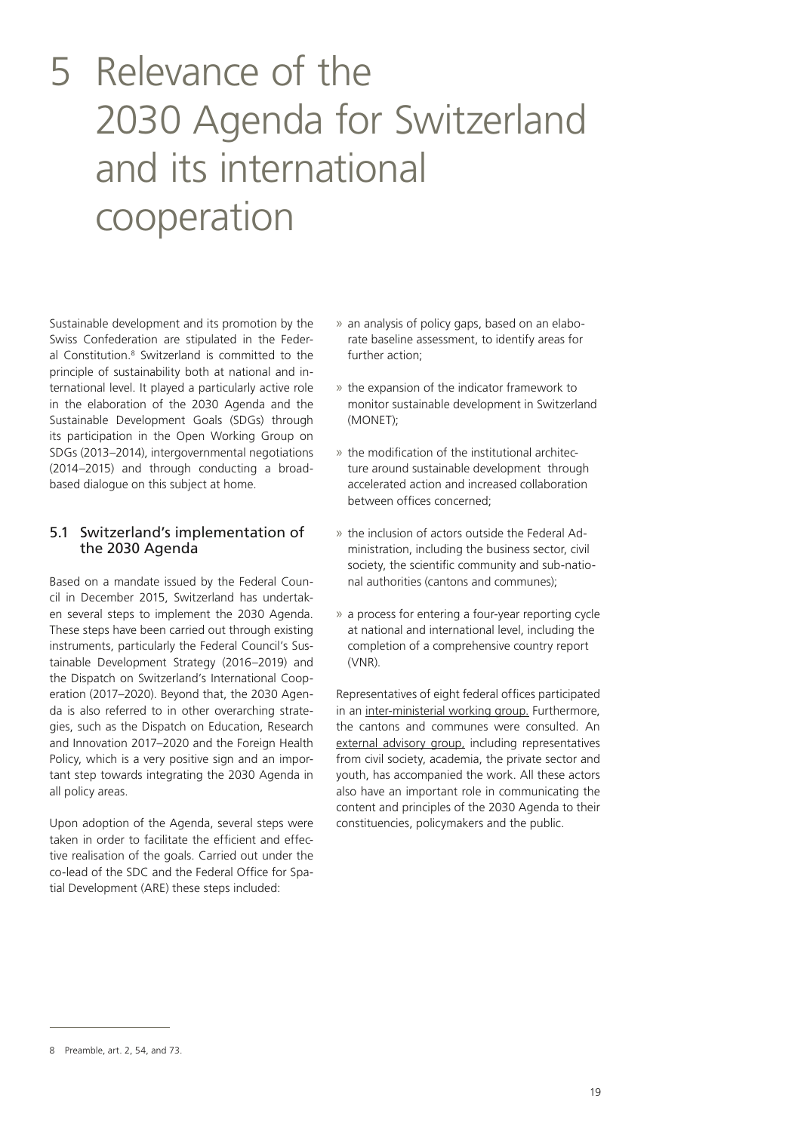# <span id="page-18-0"></span>5 Relevance of the 2030 Agenda for Switzerland and its international cooperation

Sustainable development and its promotion by the Swiss Confederation are stipulated in the Federal Constitution.8 Switzerland is committed to the principle of sustainability both at national and international level. It played a particularly active role in the elaboration of the 2030 Agenda and the Sustainable Development Goals (SDGs) through its participation in the Open Working Group on SDGs (2013–2014), intergovernmental negotiations (2014–2015) and through conducting a broadbased dialogue on this subject at home.

#### 5.1 Switzerland's implementation of the 2030 Agenda

Based on a mandate issued by the Federal Council in December 2015, Switzerland has undertaken several steps to implement the 2030 Agenda. These steps have been carried out through existing instruments, particularly the Federal Council's Sustainable Development Strategy (2016–2019) and the Dispatch on Switzerland's International Cooperation (2017–2020). Beyond that, the 2030 Agenda is also referred to in other overarching strategies, such as the Dispatch on Education, Research and Innovation 2017–2020 and the Foreign Health Policy, which is a very positive sign and an important step towards integrating the 2030 Agenda in all policy areas.

Upon adoption of the Agenda, several steps were taken in order to facilitate the efficient and effective realisation of the goals. Carried out under the co-lead of the SDC and the Federal Office for Spatial Development (ARE) these steps included:

- » an analysis of policy gaps, based on an elaborate baseline assessment, to identify areas for further action;
- » the expansion of the indicator framework to monitor sustainable development in Switzerland (MONET);
- » the modification of the institutional architecture around sustainable development through accelerated action and increased collaboration between offices concerned;
- » the inclusion of actors outside the Federal Administration, including the business sector, civil society, the scientific community and sub-national authorities (cantons and communes);
- » a process for entering a four-year reporting cycle at national and international level, including the completion of a comprehensive country report (VNR).

Representatives of eight federal offices participated in an [inter-ministerial working group.](https://www.eda.admin.ch/agenda2030/en/home/umsetzung/der-bund-setzt-sich-ein.html) Furthermore, the cantons and communes were consulted. An [external advisory group,](https://www.eda.admin.ch/agenda2030/en/home/umsetzung/zusammenarbeit-kantone-gemeinden-nichtstaatliche.html) including representatives from civil society, academia, the private sector and youth, has accompanied the work. All these actors also have an important role in communicating the content and principles of the 2030 Agenda to their constituencies, policymakers and the public.

<sup>8</sup> Preamble, art. 2, 54, and 73.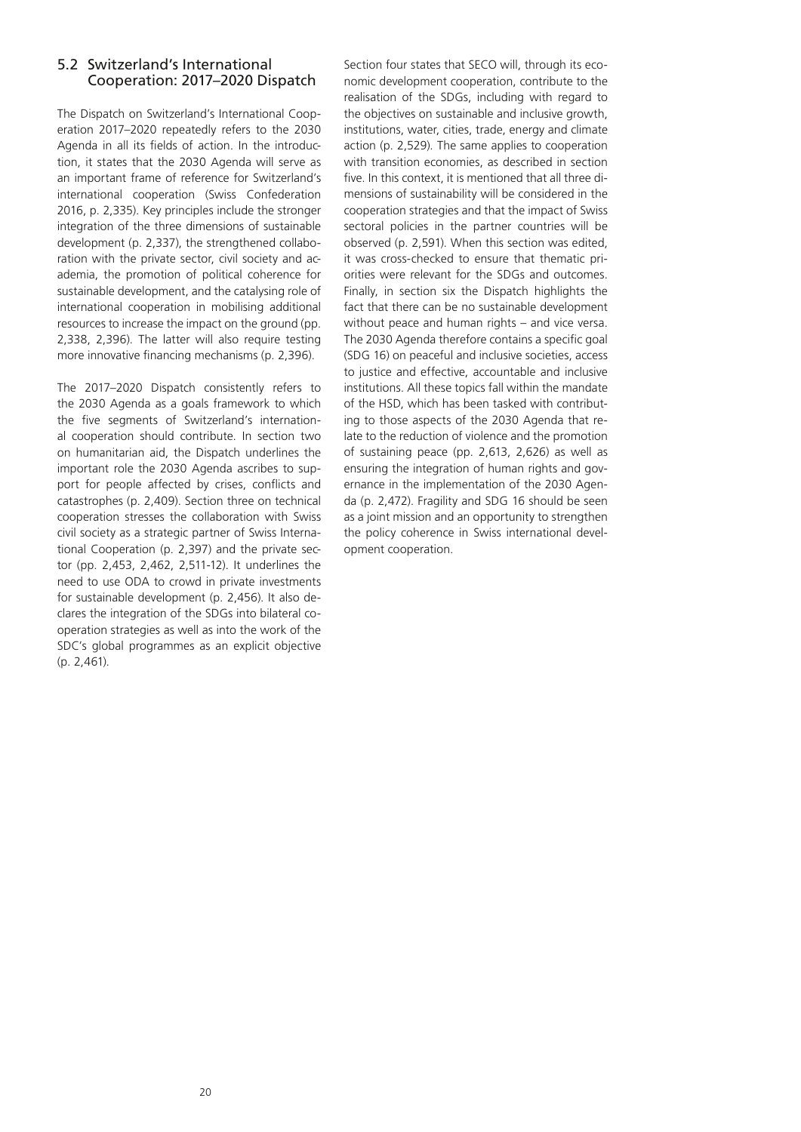#### <span id="page-19-0"></span>5.2 Switzerland's International Cooperation: 2017–2020 Dispatch

The Dispatch on Switzerland's International Cooperation 2017–2020 repeatedly refers to the 2030 Agenda in all its fields of action. In the introduction, it states that the 2030 Agenda will serve as an important frame of reference for Switzerland's international cooperation (Swiss Confederation 2016, p. 2,335). Key principles include the stronger integration of the three dimensions of sustainable development (p. 2,337), the strengthened collaboration with the private sector, civil society and academia, the promotion of political coherence for sustainable development, and the catalysing role of international cooperation in mobilising additional resources to increase the impact on the ground (pp. 2,338, 2,396). The latter will also require testing more innovative financing mechanisms (p. 2,396).

The 2017–2020 Dispatch consistently refers to the 2030 Agenda as a goals framework to which the five segments of Switzerland's international cooperation should contribute. In section two on humanitarian aid, the Dispatch underlines the important role the 2030 Agenda ascribes to support for people affected by crises, conflicts and catastrophes (p. 2,409). Section three on technical cooperation stresses the collaboration with Swiss civil society as a strategic partner of Swiss International Cooperation (p. 2,397) and the private sector (pp. 2,453, 2,462, 2,511-12). It underlines the need to use ODA to crowd in private investments for sustainable development (p. 2,456). It also declares the integration of the SDGs into bilateral cooperation strategies as well as into the work of the SDC's global programmes as an explicit objective (p. 2,461).

Section four states that SECO will, through its economic development cooperation, contribute to the realisation of the SDGs, including with regard to the objectives on sustainable and inclusive growth, institutions, water, cities, trade, energy and climate action (p. 2,529). The same applies to cooperation with transition economies, as described in section five. In this context, it is mentioned that all three dimensions of sustainability will be considered in the cooperation strategies and that the impact of Swiss sectoral policies in the partner countries will be observed (p. 2,591). When this section was edited, it was cross-checked to ensure that thematic priorities were relevant for the SDGs and outcomes. Finally, in section six the Dispatch highlights the fact that there can be no sustainable development without peace and human rights – and vice versa. The 2030 Agenda therefore contains a specific goal (SDG 16) on peaceful and inclusive societies, access to justice and effective, accountable and inclusive institutions. All these topics fall within the mandate of the HSD, which has been tasked with contributing to those aspects of the 2030 Agenda that relate to the reduction of violence and the promotion of sustaining peace (pp. 2,613, 2,626) as well as ensuring the integration of human rights and governance in the implementation of the 2030 Agenda (p. 2,472). Fragility and SDG 16 should be seen as a joint mission and an opportunity to strengthen the policy coherence in Swiss international development cooperation.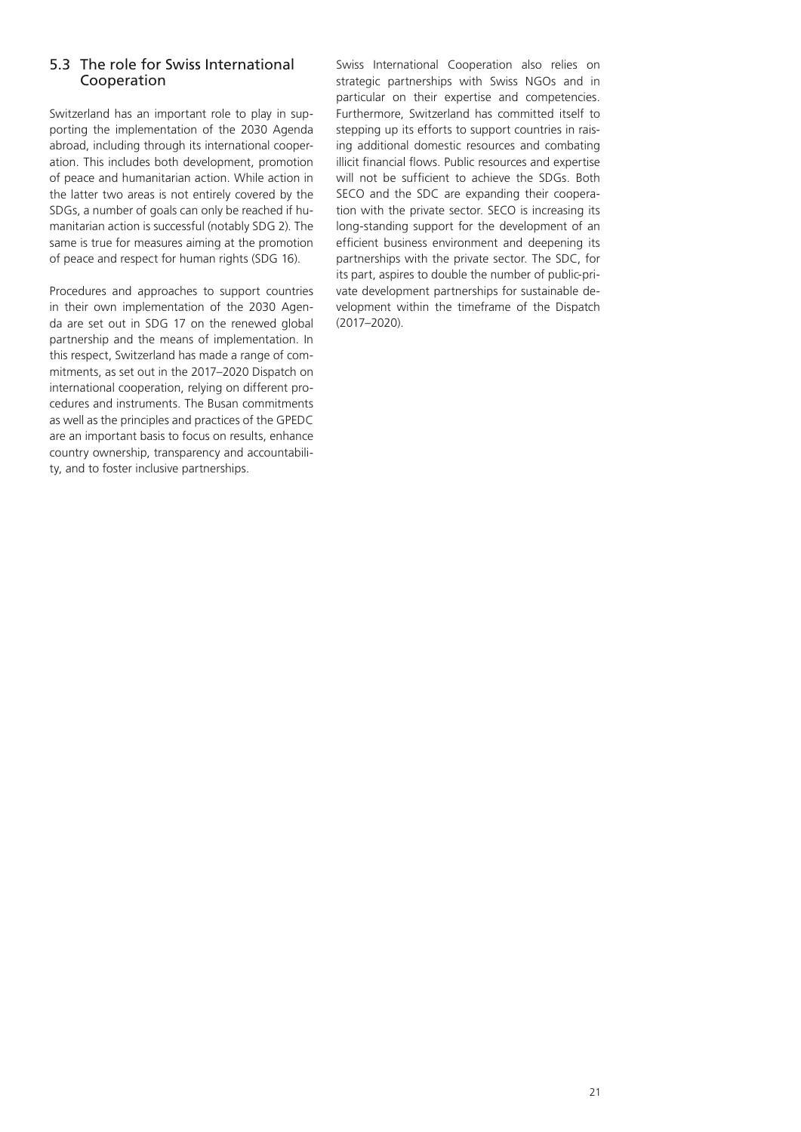#### <span id="page-20-0"></span>5.3 The role for Swiss International Cooperation

Switzerland has an important role to play in supporting the implementation of the 2030 Agenda abroad, including through its international cooperation. This includes both development, promotion of peace and humanitarian action. While action in the latter two areas is not entirely covered by the SDGs, a number of goals can only be reached if humanitarian action is successful (notably SDG 2). The same is true for measures aiming at the promotion of peace and respect for human rights (SDG 16).

Procedures and approaches to support countries in their own implementation of the 2030 Agenda are set out in SDG 17 on the renewed global partnership and the means of implementation. In this respect, Switzerland has made a range of commitments, as set out in the 2017–2020 Dispatch on international cooperation, relying on different procedures and instruments. The Busan commitments as well as the principles and practices of the GPEDC are an important basis to focus on results, enhance country ownership, transparency and accountability, and to foster inclusive partnerships.

Swiss International Cooperation also relies on strategic partnerships with Swiss NGOs and in particular on their expertise and competencies. Furthermore, Switzerland has committed itself to stepping up its efforts to support countries in raising additional domestic resources and combating illicit financial flows. Public resources and expertise will not be sufficient to achieve the SDGs. Both SECO and the SDC are expanding their cooperation with the private sector. SECO is increasing its long-standing support for the development of an efficient business environment and deepening its partnerships with the private sector. The SDC, for its part, aspires to double the number of public-private development partnerships for sustainable development within the timeframe of the Dispatch (2017–2020).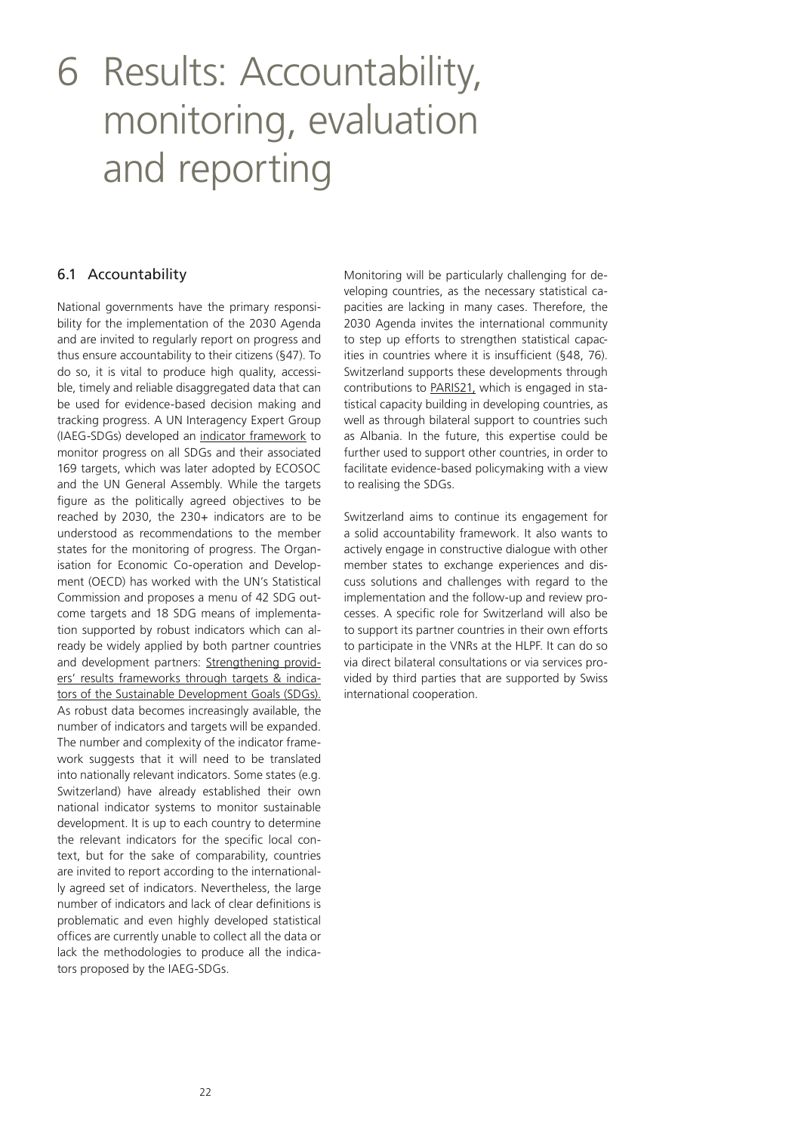# <span id="page-21-0"></span>6 Results: Accountability, monitoring, evaluation and reporting

#### 6.1 Accountability

National governments have the primary responsibility for the implementation of the 2030 Agenda and are invited to regularly report on progress and thus ensure accountability to their citizens (§47). To do so, it is vital to produce high quality, accessible, timely and reliable disaggregated data that can be used for evidence-based decision making and tracking progress. A UN Interagency Expert Group (IAEG-SDGs) developed an [indicator framework](https://unstats.un.org/unsd/statcom/48th-session/documents/Report-on-the-48th-session-of-the-statistical-commission-E.pdf) to monitor progress on all SDGs and their associated 169 targets, which was later adopted by ECOSOC and the UN General Assembly. While the targets figure as the politically agreed objectives to be reached by 2030, the 230+ indicators are to be understood as recommendations to the member states for the monitoring of progress. The Organisation for Economic Co-operation and Development (OECD) has worked with the UN's Statistical Commission and proposes a menu of 42 SDG outcome targets and 18 SDG means of implementation supported by robust indicators which can already be widely applied by both partner countries and development partners: [Strengthening provid](http://www.oecd.org/dac/results-development/docs/strengthening-providers-results-frameworks.pdf)[ers' results frameworks through targets & indica](http://www.oecd.org/dac/results-development/docs/strengthening-providers-results-frameworks.pdf)[tors of the Sustainable Development Goals \(SDGs\).](http://www.oecd.org/dac/results-development/docs/strengthening-providers-results-frameworks.pdf) As robust data becomes increasingly available, the number of indicators and targets will be expanded. The number and complexity of the indicator framework suggests that it will need to be translated into nationally relevant indicators. Some states (e.g. Switzerland) have already established their own national indicator systems to monitor sustainable development. It is up to each country to determine the relevant indicators for the specific local context, but for the sake of comparability, countries are invited to report according to the internationally agreed set of indicators. Nevertheless, the large number of indicators and lack of clear definitions is problematic and even highly developed statistical offices are currently unable to collect all the data or lack the methodologies to produce all the indicators proposed by the IAEG-SDGs.

Monitoring will be particularly challenging for developing countries, as the necessary statistical capacities are lacking in many cases. Therefore, the 2030 Agenda invites the international community to step up efforts to strengthen statistical capacities in countries where it is insufficient (§48, 76). Switzerland supports these developments through contributions to [PARIS21,](http://www.paris21.org/) which is engaged in statistical capacity building in developing countries, as well as through bilateral support to countries such as Albania. In the future, this expertise could be further used to support other countries, in order to facilitate evidence-based policymaking with a view to realising the SDGs.

Switzerland aims to continue its engagement for a solid accountability framework. It also wants to actively engage in constructive dialogue with other member states to exchange experiences and discuss solutions and challenges with regard to the implementation and the follow-up and review processes. A specific role for Switzerland will also be to support its partner countries in their own efforts to participate in the VNRs at the HLPF. It can do so via direct bilateral consultations or via services provided by third parties that are supported by Swiss international cooperation.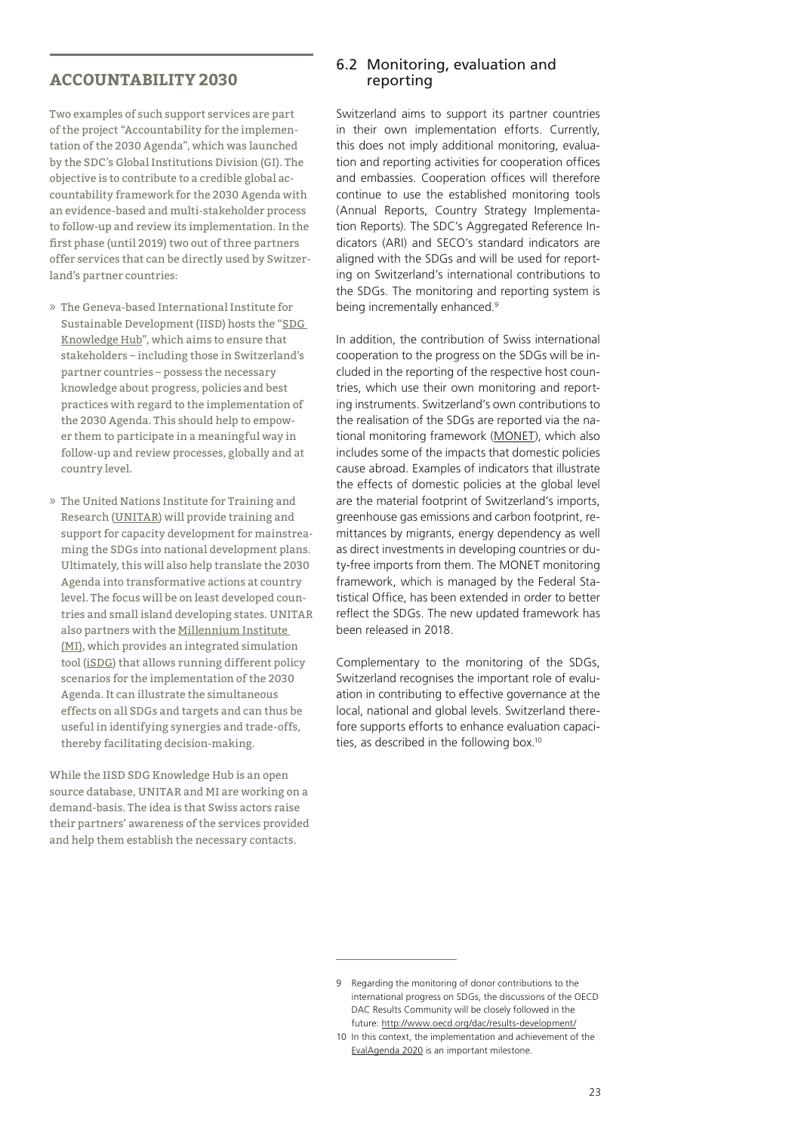### <span id="page-22-0"></span>**ACCOUNTABILITY 2030**

Two examples of such support services are part of the project "Accountability for the implementation of the 2030 Agenda", which was launched by the SDC's Global Institutions Division (GI). The objective is to contribute to a credible global accountability framework for the 2030 Agenda with an evidence-based and multi-stakeholder process to follow-up and review its implementation. In the first phase (until 2019) two out of three partners offer services that can be directly used by Switzerland's partner countries:

- » The Geneva-based International Institute for Sustainable Development (IISD) hosts the "[SDG](http://sdg.iisd.org/)  [Knowledge Hub"](http://sdg.iisd.org/), which aims to ensure that stakeholders – including those in Switzerland's partner countries – possess the necessary knowledge about progress, policies and best practices with regard to the implementation of the 2030 Agenda. This should help to empower them to participate in a meaningful way in follow-up and review processes, globally and at country level.
- » The United Nations Institute for Training and Research ([UNITAR\)](http://www.unitar.org/thematic-areas/capacity-2030-agenda) will provide training and support for capacity development for mainstreaming the SDGs into national development plans. Ultimately, this will also help translate the 2030 Agenda into transformative actions at country level. The focus will be on least developed countries and small island developing states. UNITAR also partners with the [Millennium Institute](http://www.millennium-institute.org/)  [\(MI\)](http://www.millennium-institute.org/), which provides an integrated simulation tool [\(iSDG\)](https://www.millennium-institute.org/isdg) that allows running different policy scenarios for the implementation of the 2030 Agenda. It can illustrate the simultaneous effects on all SDGs and targets and can thus be useful in identifying synergies and trade-offs, thereby facilitating decision-making.

While the IISD SDG Knowledge Hub is an open source database, UNITAR and MI are working on a demand-basis. The idea is that Swiss actors raise their partners' awareness of the services provided and help them establish the necessary contacts.

#### 6.2 Monitoring, evaluation and reporting

Switzerland aims to support its partner countries in their own implementation efforts. Currently, this does not imply additional monitoring, evaluation and reporting activities for cooperation offices and embassies. Cooperation offices will therefore continue to use the established monitoring tools (Annual Reports, Country Strategy Implementation Reports). The SDC's Aggregated Reference Indicators (ARI) and SECO's standard indicators are aligned with the SDGs and will be used for reporting on Switzerland's international contributions to the SDGs. The monitoring and reporting system is being incrementally enhanced.<sup>9</sup>

In addition, the contribution of Swiss international cooperation to the progress on the SDGs will be included in the reporting of the respective host countries, which use their own monitoring and reporting instruments. Switzerland's own contributions to the realisation of the SDGs are reported via the national monitoring framework [\(MONET\)](https://www.bfs.admin.ch/bfs/en/home/statistics/sustainable-development/monet.html), which also includes some of the impacts that domestic policies cause abroad. Examples of indicators that illustrate the effects of domestic policies at the global level are the material footprint of Switzerland's imports, greenhouse gas emissions and carbon footprint, remittances by migrants, energy dependency as well as direct investments in developing countries or duty-free imports from them. The MONET monitoring framework, which is managed by the Federal Statistical Office, has been extended in order to better reflect the SDGs. The new updated framework has been released in 2018.

Complementary to the monitoring of the SDGs, Switzerland recognises the important role of evaluation in contributing to effective governance at the local, national and global levels. Switzerland therefore supports efforts to enhance evaluation capacities, as described in the following box.<sup>10</sup>

<sup>9</sup> Regarding the monitoring of donor contributions to the international progress on SDGs, the discussions of the OECD DAC Results Community will be closely followed in the future: <http://www.oecd.org/dac/results-development/>

<sup>10</sup> In this context, the implementation and achievement of the [EvalAgenda 2020](https://www.evalpartners.org/global-evaluation-agenda) is an important milestone.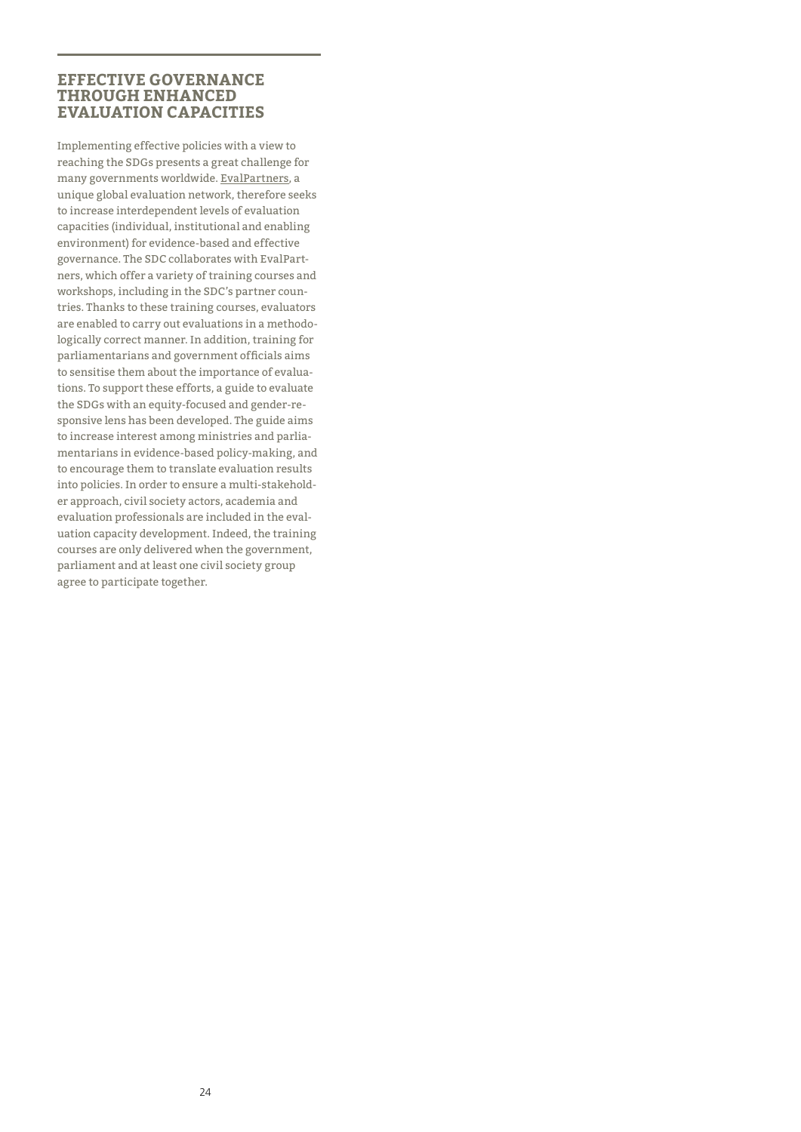#### **EFFECTIVE GOVERNANCE THROUGH ENHANCED EVALUATION CAPACITIES**

Implementing effective policies with a view to reaching the SDGs presents a great challenge for many governments worldwide. [EvalPartners,](https://www.evalpartners.org/) a unique global evaluation network, therefore seeks to increase interdependent levels of evaluation capacities (individual, institutional and enabling environment) for evidence-based and effective governance. The SDC collaborates with EvalPartners, which offer a variety of training courses and workshops, including in the SDC's partner countries. Thanks to these training courses, evaluators are enabled to carry out evaluations in a methodologically correct manner. In addition, training for parliamentarians and government officials aims to sensitise them about the importance of evaluations. To support these efforts, a guide to evaluate the SDGs with an equity-focused and gender-responsive lens has been developed. The guide aims to increase interest among ministries and parliamentarians in evidence-based policy-making, and to encourage them to translate evaluation results into policies. In order to ensure a multi-stakeholder approach, civil society actors, academia and evaluation professionals are included in the evaluation capacity development. Indeed, the training courses are only delivered when the government, parliament and at least one civil society group agree to participate together.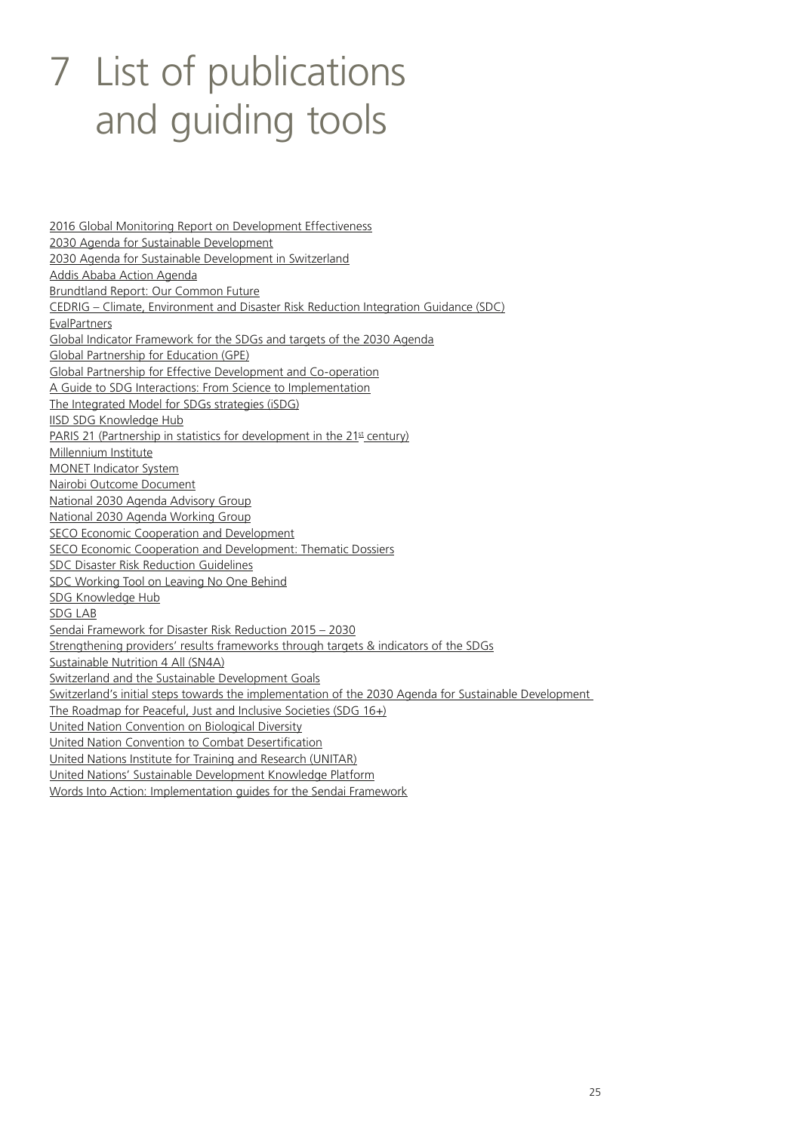# <span id="page-24-0"></span>7 List of publications and guiding tools

[2016 Global Monitoring Report on Development Effectiveness](http://effectivecooperation.org/2016/11/2016-monitoring-report-released/) [2030 Agenda for Sustainable Development](http://www.un.org/ga/search/view_doc.asp?symbol=A/RES/70/1&Lang=E) [2030 Agenda for Sustainable Development in Switzerland](https://www.eda.admin.ch/agenda2030/de/home.html) [Addis Ababa Action Agenda](http://www.un.org/ga/search/view_doc.asp?symbol=A/RES/69/313&referer=/english/&Lang=E) [Brundtland Report: Our Common Future](http://www.un-documents.net/our-common-future.pdf) [CEDRIG – Climate, Environment and Disaster Risk Reduction Integration Guidance \(SDC\)](https://www.cedrig.org/) [EvalPartners](https://www.evalpartners.org/) [Global Indicator Framework for the SDGs and targets of the 2030 Agenda](https://unstats.un.org/unsd/statcom/48th-session/documents/Report-on-the-48th-session-of-the-statistical-commission-E.pdf) [Global Partnership for Education \(GPE\)](https://www.globalpartnership.org/) [Global Partnership for Effective Development and Co-operation](http://effectivecooperation.org/about/principles/) [A Guide to SDG Interactions: From Science to Implementation](https://www.icsu.org/cms/2017/05/SDGs-Guide-to-Interactions.pdf) [The Integrated Model for SDGs strategies \(iSDG\)](https://www.millennium-institute.org/isdg) [IISD SDG Knowledge Hub](http://sdg.iisd.org/) PARIS 21 (Partnership in statistics for development in the  $21<sup>st</sup>$  century) [Millennium Institute](https://www.millennium-institute.org/) [MONET Indicator System](https://www.bfs.admin.ch/bfs/en/home/statistics/sustainable-development/monet.html) [Nairobi Outcome Document](http://effectivecooperation.org/the-nairobi-outcome-document/) [National 2030 Agenda Advisory Group](https://www.eda.admin.ch/agenda2030/en/home/umsetzung/zusammenarbeit-kantone-gemeinden-nichtstaatliche.html) [National 2030 Agenda Working Group](https://www.eda.admin.ch/agenda2030/en/home/umsetzung/der-bund-setzt-sich-ein.html) [SECO Economic Cooperation and Development](https://www.seco-cooperation.admin.ch/secocoop/en/home.html) [SECO Economic Cooperation and Development: Thematic Dossiers](https://www.seco-cooperation.admin.ch/secocoop/en/home/documentation/thematic-dossiers.html) [SDC Disaster Risk Reduction Guidelines](https://www.shareweb.ch/site/DRR/Documents/Types%20of%20activity/SDC_DRR%20Guidelines_2017_English.pdf) [SDC Working Tool on Leaving No One Behind](https://www.shareweb.ch/site/Poverty-Wellbeing/current-poverty-issues/sdgs-agenda2030) [SDG Knowledge Hub](http://sdg.iisd.org/) [SDG LAB](https://www.sdglab.ch/) [Sendai Framework for Disaster Risk Reduction 2015 – 2030](https://www.preventionweb.net/files/43291_sendaiframeworkfordrren.pdf) [Strengthening providers' results frameworks through targets & indicators of the SDGs](http://www.oecd.org/dac/results-development/docs/strengthening-providers-results-frameworks.pdf) [Sustainable Nutrition 4 All \(SN4A\)](http://www.snv.org/project/sustainable-nutrition-all-sn4a-uganda-and-zambia) [Switzerland and the Sustainable Development Goals](https://www.eda.admin.ch/dam/agenda2030/en/documents/flyer-agenda2030_EN.pdf) [Switzerland's initial steps towards the implementation of the 2030 Agenda for Sustainable Development](https://www.eda.admin.ch/dam/mission-new-york/en/documents/Agenda2030.pdf)  [The Roadmap for Peaceful, Just and Inclusive Societies \(SDG 16+\)](http://cic.nyu.edu/sites/default/files/sdg16_roadmap_en_20sep17.pdf) [United Nation Convention on Biological Diversity](https://www.cbd.int/doc/legal/cbd-en.pdf) [United Nation Convention to Combat Desertification](https://www2.unccd.int/sites/default/files/relevant-links/2017-01/UNCCD_Convention_ENG_0.pdf) [United Nations Institute for Training and Research \(UNITAR\)](http://www.unitar.org/) [United Nations' Sustainable Development Knowledge Platform](https://sustainabledevelopment.un.org/)

[Words Into Action: Implementation guides for the Sendai Framework](https://www.preventionweb.net/drr-framework/sendai-framework/wordsintoaction/)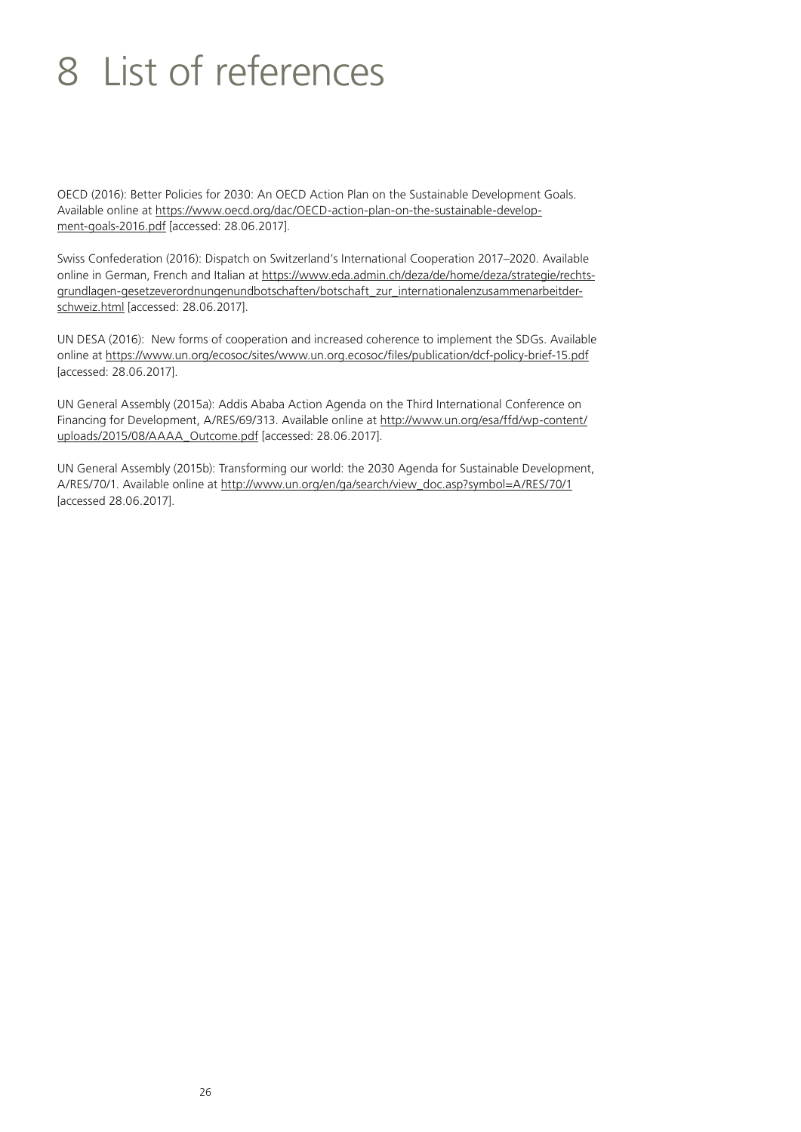# <span id="page-25-0"></span>8 List of references

OECD (2016): Better Policies for 2030: An OECD Action Plan on the Sustainable Development Goals. Available online at [https://www.oecd.org/dac/OECD-action-plan-on-the-sustainable-develop](https://www.preventionweb.net/drr-framework/sendai-framework/wordsintoaction/)[ment-goals-2016.pdf](https://www.preventionweb.net/drr-framework/sendai-framework/wordsintoaction/) [accessed: 28.06.2017].

Swiss Confederation (2016): Dispatch on Switzerland's International Cooperation 2017–2020. Available online in German, French and Italian at [https://www.eda.admin.ch/deza/de/home/deza/strategie/rechts](https://www.eda.admin.ch/deza/de/home/deza/strategie/rechtsgrundlagen-gesetzeverordnungenundbotschaften/botschaft_zur_internationalenzusammenarbeitderschweiz.html)[grundlagen-gesetzeverordnungenundbotschaften/botschaft\\_zur\\_internationalenzusammenarbeitder](https://www.eda.admin.ch/deza/de/home/deza/strategie/rechtsgrundlagen-gesetzeverordnungenundbotschaften/botschaft_zur_internationalenzusammenarbeitderschweiz.html)[schweiz.html](https://www.eda.admin.ch/deza/de/home/deza/strategie/rechtsgrundlagen-gesetzeverordnungenundbotschaften/botschaft_zur_internationalenzusammenarbeitderschweiz.html) [accessed: 28.06.2017].

UN DESA (2016): New forms of cooperation and increased coherence to implement the SDGs. Available online at <https://www.un.org/ecosoc/sites/www.un.org.ecosoc/files/publication/dcf-policy-brief-15.pdf> [accessed: 28.06.2017].

UN General Assembly (2015a): Addis Ababa Action Agenda on the Third International Conference on Financing for Development, A/RES/69/313. Available online at [http://www.un.org/esa/ffd/wp-content/](http://www.un.org/esa/ffd/wp-content/uploads/2015/08/AAAA_Outcome.pdf) [uploads/2015/08/AAAA\\_Outcome.pdf](http://www.un.org/esa/ffd/wp-content/uploads/2015/08/AAAA_Outcome.pdf) [accessed: 28.06.2017].

UN General Assembly (2015b): Transforming our world: the 2030 Agenda for Sustainable Development, A/RES/70/1. Available online at [http://www.un.org/en/ga/search/view\\_doc.asp?symbol=A/RES/70/1](http://www.un.org/en/ga/search/view_doc.asp?symbol=A/RES/70/1) [accessed 28.06.2017].